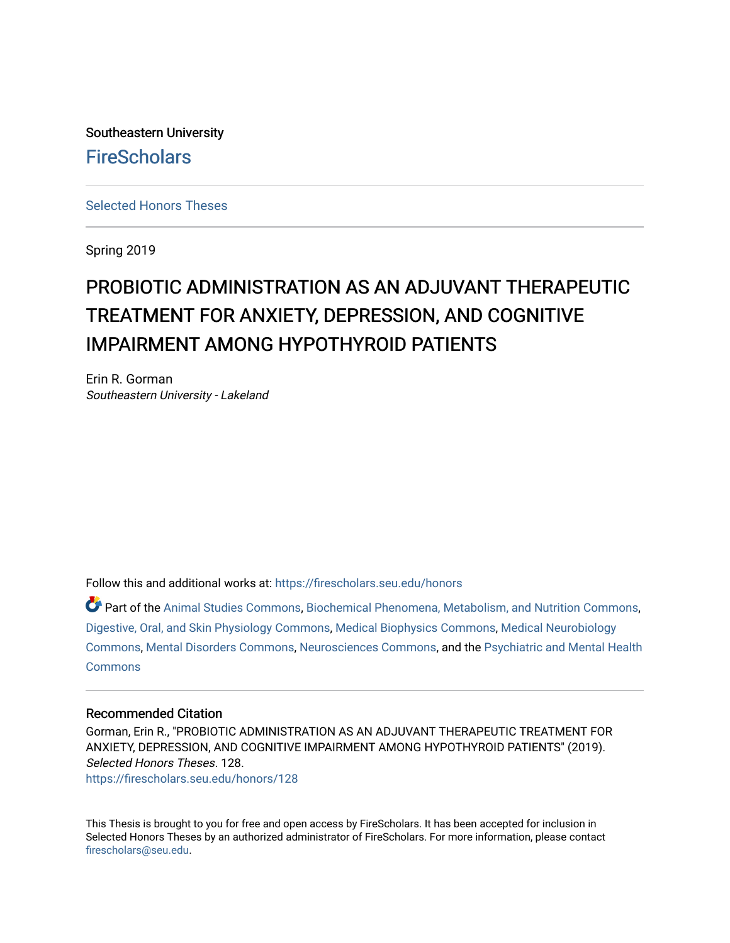Southeastern University **FireScholars** 

[Selected Honors Theses](https://firescholars.seu.edu/honors)

Spring 2019

# PROBIOTIC ADMINISTRATION AS AN ADJUVANT THERAPEUTIC TREATMENT FOR ANXIETY, DEPRESSION, AND COGNITIVE IMPAIRMENT AMONG HYPOTHYROID PATIENTS

Erin R. Gorman Southeastern University - Lakeland

Follow this and additional works at: [https://firescholars.seu.edu/honors](https://firescholars.seu.edu/honors?utm_source=firescholars.seu.edu%2Fhonors%2F128&utm_medium=PDF&utm_campaign=PDFCoverPages)

Part of the [Animal Studies Commons,](http://network.bepress.com/hgg/discipline/1306?utm_source=firescholars.seu.edu%2Fhonors%2F128&utm_medium=PDF&utm_campaign=PDFCoverPages) [Biochemical Phenomena, Metabolism, and Nutrition Commons,](http://network.bepress.com/hgg/discipline/1012?utm_source=firescholars.seu.edu%2Fhonors%2F128&utm_medium=PDF&utm_campaign=PDFCoverPages) [Digestive, Oral, and Skin Physiology Commons](http://network.bepress.com/hgg/discipline/967?utm_source=firescholars.seu.edu%2Fhonors%2F128&utm_medium=PDF&utm_campaign=PDFCoverPages), [Medical Biophysics Commons,](http://network.bepress.com/hgg/discipline/668?utm_source=firescholars.seu.edu%2Fhonors%2F128&utm_medium=PDF&utm_campaign=PDFCoverPages) [Medical Neurobiology](http://network.bepress.com/hgg/discipline/674?utm_source=firescholars.seu.edu%2Fhonors%2F128&utm_medium=PDF&utm_campaign=PDFCoverPages) [Commons](http://network.bepress.com/hgg/discipline/674?utm_source=firescholars.seu.edu%2Fhonors%2F128&utm_medium=PDF&utm_campaign=PDFCoverPages), [Mental Disorders Commons,](http://network.bepress.com/hgg/discipline/968?utm_source=firescholars.seu.edu%2Fhonors%2F128&utm_medium=PDF&utm_campaign=PDFCoverPages) [Neurosciences Commons](http://network.bepress.com/hgg/discipline/1010?utm_source=firescholars.seu.edu%2Fhonors%2F128&utm_medium=PDF&utm_campaign=PDFCoverPages), and the [Psychiatric and Mental Health](http://network.bepress.com/hgg/discipline/711?utm_source=firescholars.seu.edu%2Fhonors%2F128&utm_medium=PDF&utm_campaign=PDFCoverPages) **[Commons](http://network.bepress.com/hgg/discipline/711?utm_source=firescholars.seu.edu%2Fhonors%2F128&utm_medium=PDF&utm_campaign=PDFCoverPages)** 

# Recommended Citation

Gorman, Erin R., "PROBIOTIC ADMINISTRATION AS AN ADJUVANT THERAPEUTIC TREATMENT FOR ANXIETY, DEPRESSION, AND COGNITIVE IMPAIRMENT AMONG HYPOTHYROID PATIENTS" (2019). Selected Honors Theses. 128. [https://firescholars.seu.edu/honors/128](https://firescholars.seu.edu/honors/128?utm_source=firescholars.seu.edu%2Fhonors%2F128&utm_medium=PDF&utm_campaign=PDFCoverPages)

This Thesis is brought to you for free and open access by FireScholars. It has been accepted for inclusion in Selected Honors Theses by an authorized administrator of FireScholars. For more information, please contact [firescholars@seu.edu.](mailto:firescholars@seu.edu)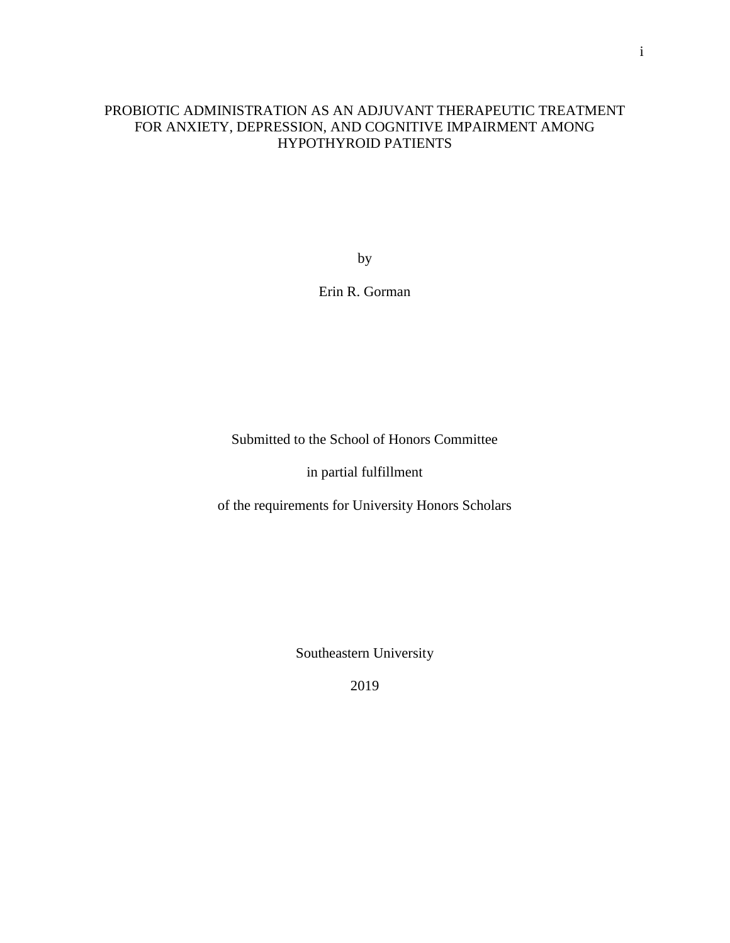# PROBIOTIC ADMINISTRATION AS AN ADJUVANT THERAPEUTIC TREATMENT FOR ANXIETY, DEPRESSION, AND COGNITIVE IMPAIRMENT AMONG HYPOTHYROID PATIENTS

by

Erin R. Gorman

Submitted to the School of Honors Committee

in partial fulfillment

of the requirements for University Honors Scholars

Southeastern University

2019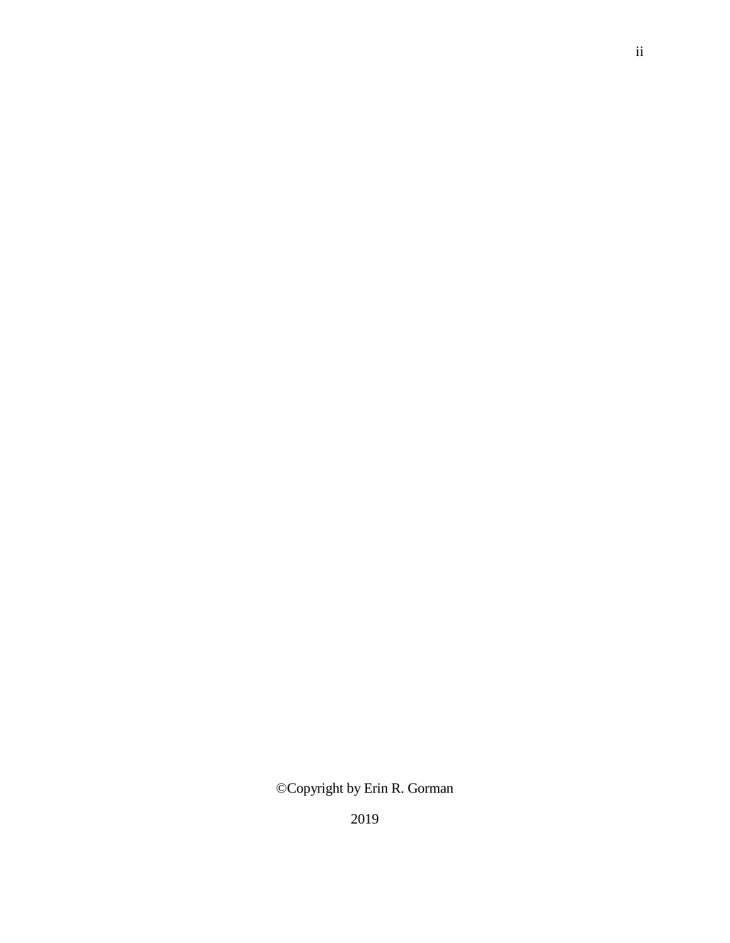©Copyright by Erin R. Gorman

ii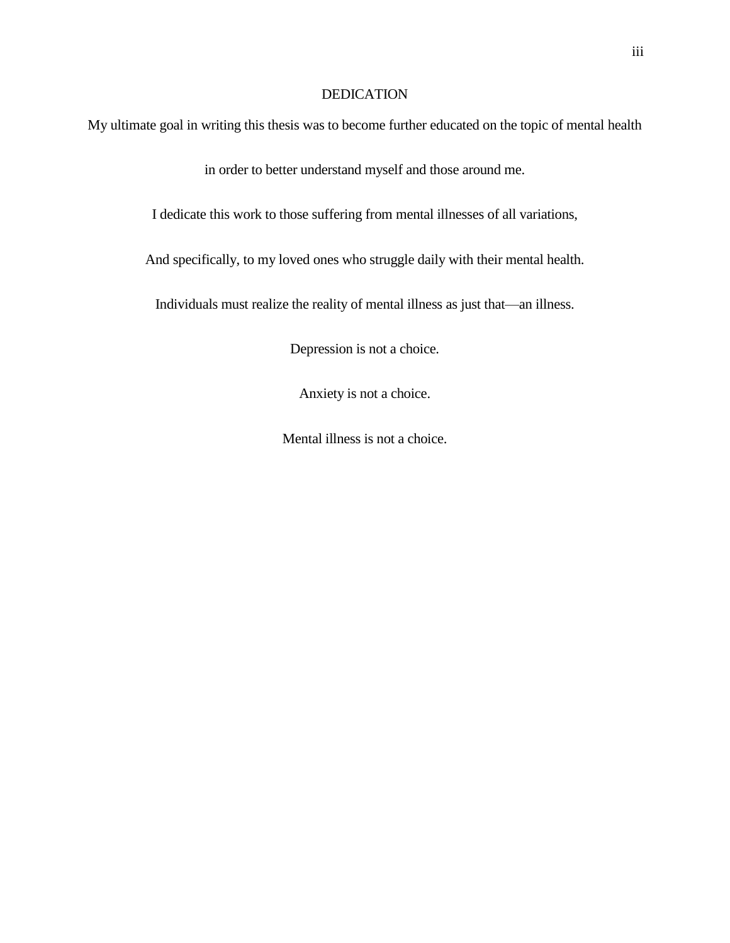# DEDICATION

My ultimate goal in writing this thesis was to become further educated on the topic of mental health

in order to better understand myself and those around me.

I dedicate this work to those suffering from mental illnesses of all variations,

And specifically, to my loved ones who struggle daily with their mental health.

Individuals must realize the reality of mental illness as just that—an illness.

Depression is not a choice.

Anxiety is not a choice.

Mental illness is not a choice.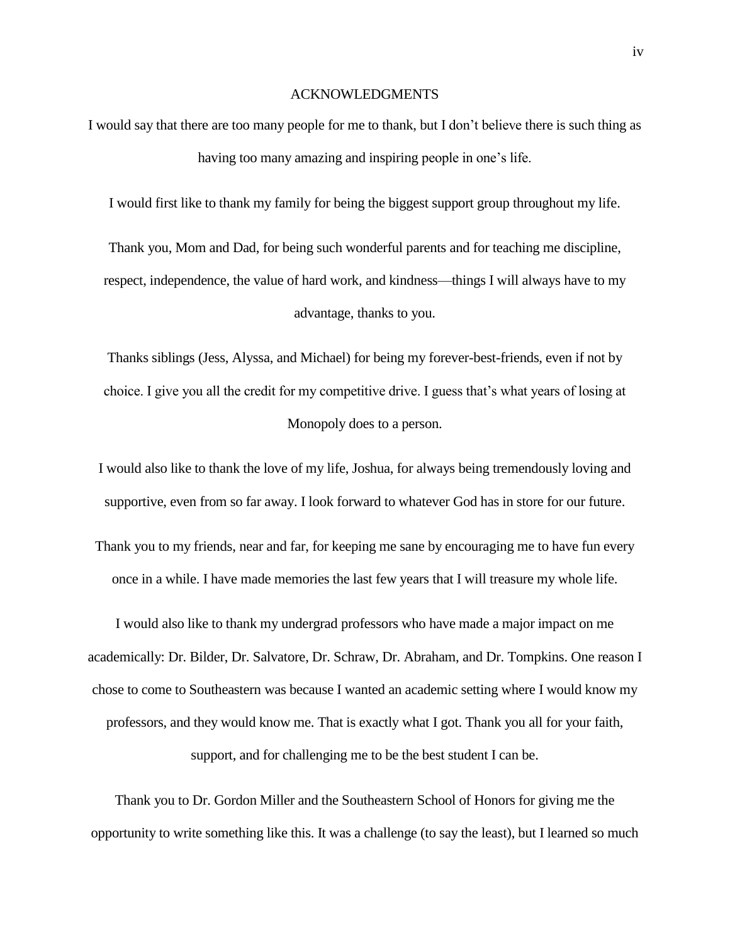#### ACKNOWLEDGMENTS

I would say that there are too many people for me to thank, but I don't believe there is such thing as having too many amazing and inspiring people in one's life.

I would first like to thank my family for being the biggest support group throughout my life.

Thank you, Mom and Dad, for being such wonderful parents and for teaching me discipline, respect, independence, the value of hard work, and kindness—things I will always have to my advantage, thanks to you.

Thanks siblings (Jess, Alyssa, and Michael) for being my forever-best-friends, even if not by choice. I give you all the credit for my competitive drive. I guess that's what years of losing at Monopoly does to a person.

I would also like to thank the love of my life, Joshua, for always being tremendously loving and supportive, even from so far away. I look forward to whatever God has in store for our future.

Thank you to my friends, near and far, for keeping me sane by encouraging me to have fun every once in a while. I have made memories the last few years that I will treasure my whole life.

I would also like to thank my undergrad professors who have made a major impact on me academically: Dr. Bilder, Dr. Salvatore, Dr. Schraw, Dr. Abraham, and Dr. Tompkins. One reason I chose to come to Southeastern was because I wanted an academic setting where I would know my professors, and they would know me. That is exactly what I got. Thank you all for your faith,

support, and for challenging me to be the best student I can be.

Thank you to Dr. Gordon Miller and the Southeastern School of Honors for giving me the opportunity to write something like this. It was a challenge (to say the least), but I learned so much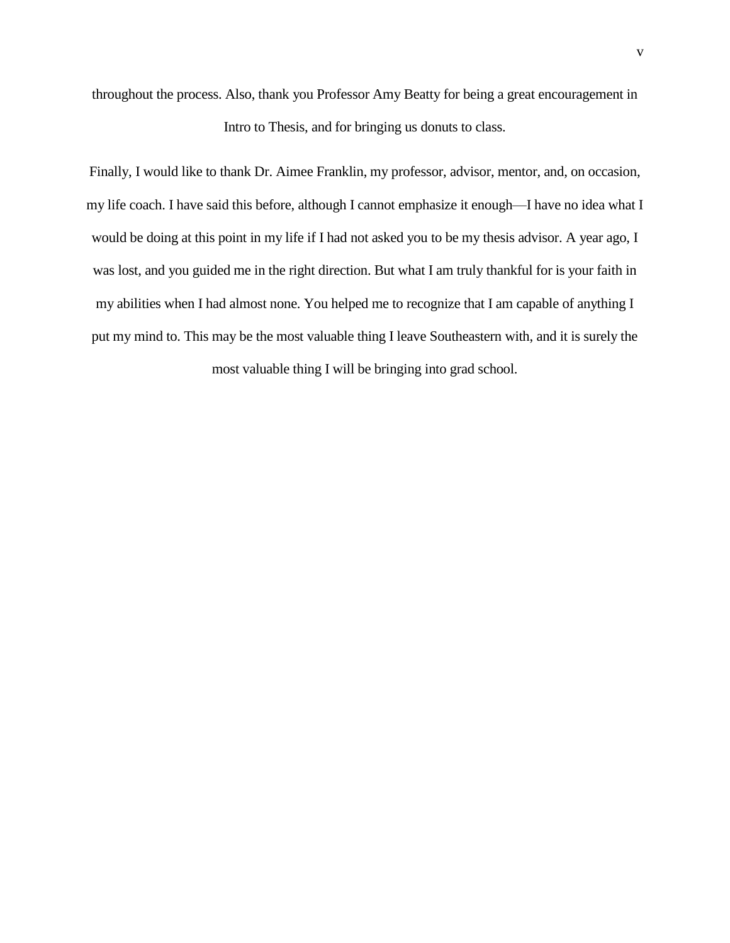throughout the process. Also, thank you Professor Amy Beatty for being a great encouragement in Intro to Thesis, and for bringing us donuts to class.

Finally, I would like to thank Dr. Aimee Franklin, my professor, advisor, mentor, and, on occasion, my life coach. I have said this before, although I cannot emphasize it enough—I have no idea what I would be doing at this point in my life if I had not asked you to be my thesis advisor. A year ago, I was lost, and you guided me in the right direction. But what I am truly thankful for is your faith in my abilities when I had almost none. You helped me to recognize that I am capable of anything I put my mind to. This may be the most valuable thing I leave Southeastern with, and it is surely the most valuable thing I will be bringing into grad school.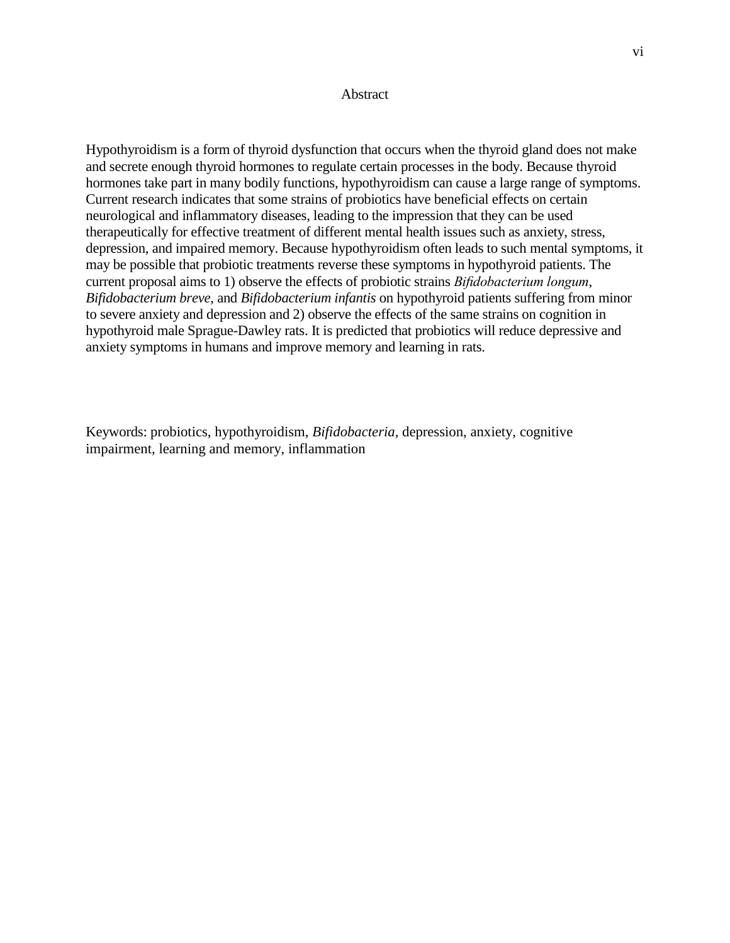# **Abstract**

Hypothyroidism is a form of thyroid dysfunction that occurs when the thyroid gland does not make and secrete enough thyroid hormones to regulate certain processes in the body. Because thyroid hormones take part in many bodily functions, hypothyroidism can cause a large range of symptoms. Current research indicates that some strains of probiotics have beneficial effects on certain neurological and inflammatory diseases, leading to the impression that they can be used therapeutically for effective treatment of different mental health issues such as anxiety, stress, depression, and impaired memory. Because hypothyroidism often leads to such mental symptoms, it may be possible that probiotic treatments reverse these symptoms in hypothyroid patients. The current proposal aims to 1) observe the effects of probiotic strains *Bifidobacterium longum*, *Bifidobacterium breve*, and *Bifidobacterium infantis* on hypothyroid patients suffering from minor to severe anxiety and depression and 2) observe the effects of the same strains on cognition in hypothyroid male Sprague-Dawley rats. It is predicted that probiotics will reduce depressive and anxiety symptoms in humans and improve memory and learning in rats.

Keywords: probiotics, hypothyroidism, *Bifidobacteria,* depression, anxiety, cognitive impairment, learning and memory, inflammation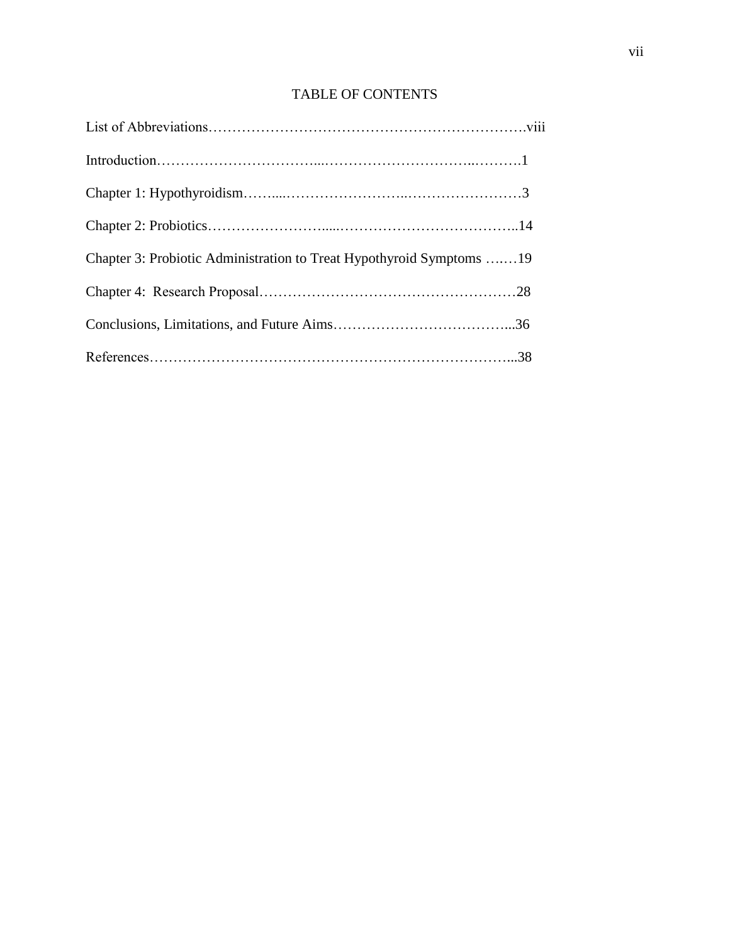# TABLE OF CONTENTS

| Chapter 3: Probiotic Administration to Treat Hypothyroid Symptoms 19 |  |
|----------------------------------------------------------------------|--|
|                                                                      |  |
|                                                                      |  |
|                                                                      |  |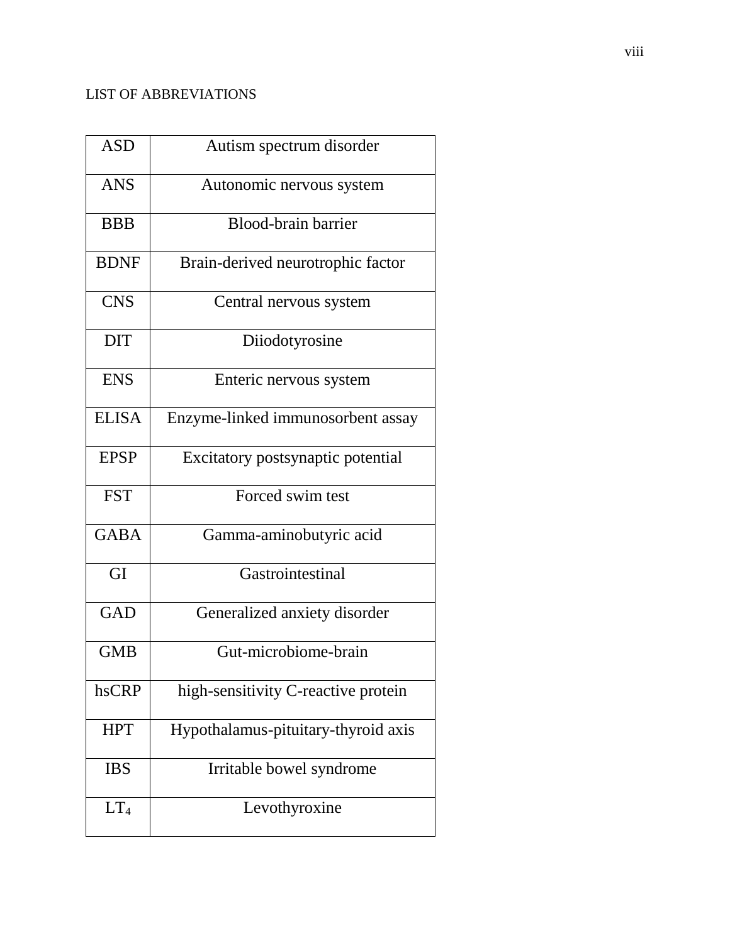# LIST OF ABBREVIATIONS

| <b>ASD</b>      | Autism spectrum disorder            |
|-----------------|-------------------------------------|
| <b>ANS</b>      | Autonomic nervous system            |
| <b>BBB</b>      | Blood-brain barrier                 |
| <b>BDNF</b>     | Brain-derived neurotrophic factor   |
| <b>CNS</b>      | Central nervous system              |
| <b>DIT</b>      | Diiodotyrosine                      |
| <b>ENS</b>      | Enteric nervous system              |
| <b>ELISA</b>    | Enzyme-linked immunosorbent assay   |
| <b>EPSP</b>     | Excitatory postsynaptic potential   |
| <b>FST</b>      | Forced swim test                    |
| <b>GABA</b>     | Gamma-aminobutyric acid             |
| GI              | Gastrointestinal                    |
| <b>GAD</b>      | Generalized anxiety disorder        |
| <b>GMB</b>      | Gut-microbiome-brain                |
| hsCRP           | high-sensitivity C-reactive protein |
| <b>HPT</b>      | Hypothalamus-pituitary-thyroid axis |
| <b>IBS</b>      | Irritable bowel syndrome            |
| LT <sub>4</sub> | Levothyroxine                       |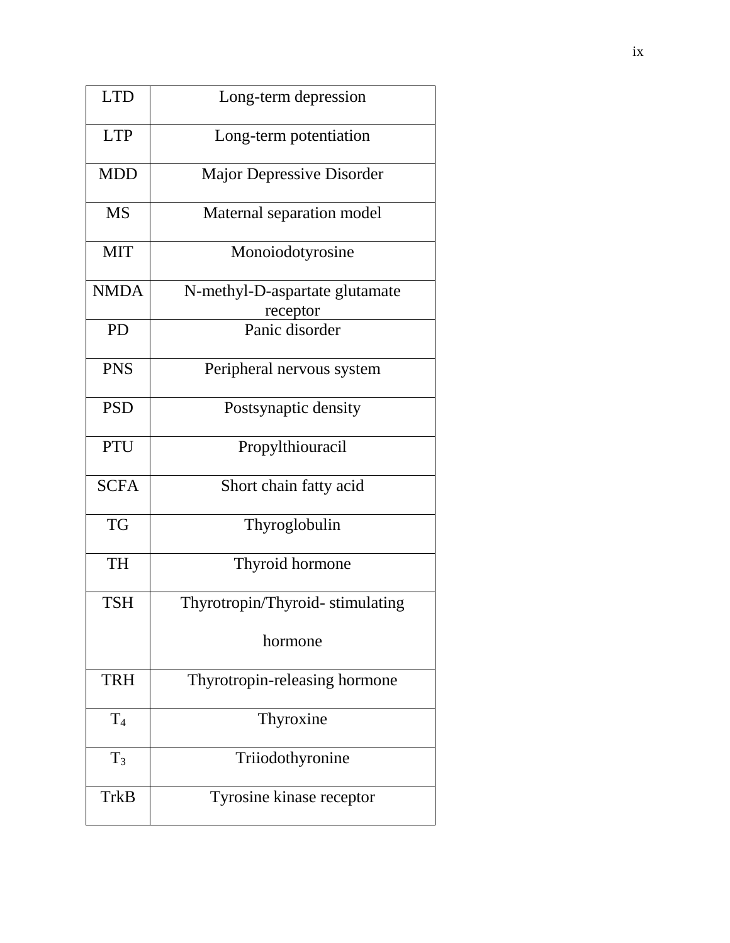| <b>LTD</b>  | Long-term depression                       |
|-------------|--------------------------------------------|
| <b>LTP</b>  | Long-term potentiation                     |
| <b>MDD</b>  | <b>Major Depressive Disorder</b>           |
| <b>MS</b>   | Maternal separation model                  |
| <b>MIT</b>  | Monoiodotyrosine                           |
| <b>NMDA</b> | N-methyl-D-aspartate glutamate<br>receptor |
| <b>PD</b>   | Panic disorder                             |
| <b>PNS</b>  | Peripheral nervous system                  |
| <b>PSD</b>  | Postsynaptic density                       |
| <b>PTU</b>  | Propylthiouracil                           |
| <b>SCFA</b> | Short chain fatty acid                     |
| <b>TG</b>   | Thyroglobulin                              |
| <b>TH</b>   | Thyroid hormone                            |
| <b>TSH</b>  | Thyrotropin/Thyroid-stimulating            |
|             | hormone                                    |
| <b>TRH</b>  | Thyrotropin-releasing hormone              |
| $\rm T_4$   | Thyroxine                                  |
| $T_3$       | Triiodothyronine                           |
| TrkB        | Tyrosine kinase receptor                   |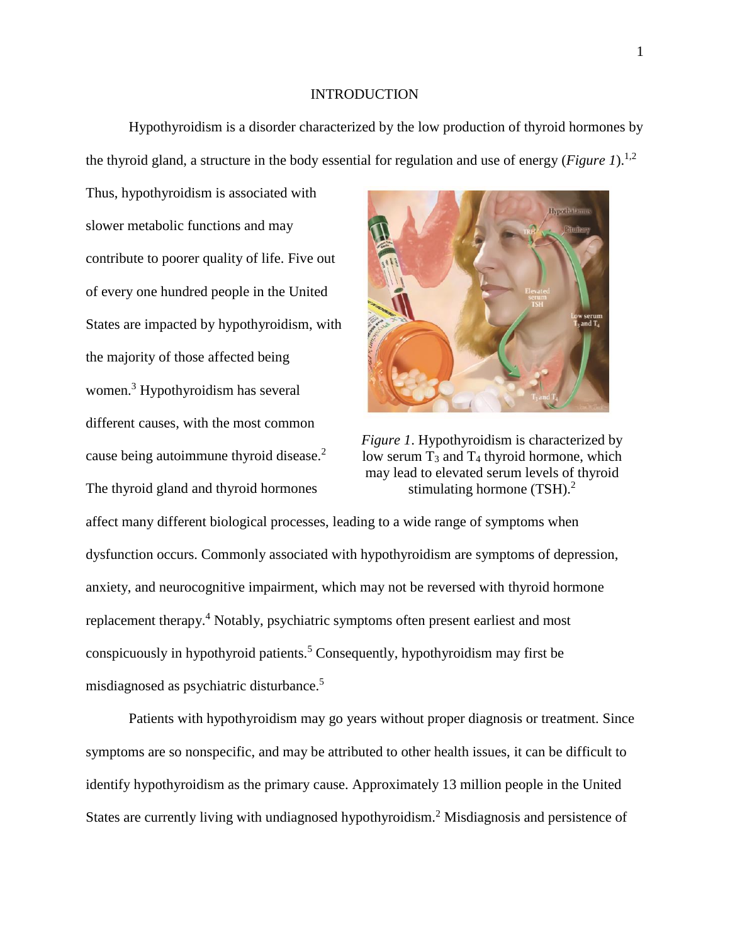# INTRODUCTION

Hypothyroidism is a disorder characterized by the low production of thyroid hormones by the thyroid gland, a structure in the body essential for regulation and use of energy (*Figure 1*). 1,2

Thus, hypothyroidism is associated with slower metabolic functions and may contribute to poorer quality of life. Five out of every one hundred people in the United States are impacted by hypothyroidism, with the majority of those affected being women.<sup>3</sup> Hypothyroidism has several different causes, with the most common cause being autoimmune thyroid disease.<sup>2</sup> The thyroid gland and thyroid hormones



*Figure 1*. Hypothyroidism is characterized by low serum  $T_3$  and  $T_4$  thyroid hormone, which may lead to elevated serum levels of thyroid stimulating hormone  $(TSH)<sup>2</sup>$ .

affect many different biological processes, leading to a wide range of symptoms when dysfunction occurs. Commonly associated with hypothyroidism are symptoms of depression, anxiety, and neurocognitive impairment, which may not be reversed with thyroid hormone replacement therapy.<sup>4</sup> Notably, psychiatric symptoms often present earliest and most conspicuously in hypothyroid patients.<sup>5</sup> Consequently, hypothyroidism may first be misdiagnosed as psychiatric disturbance.<sup>5</sup>

Patients with hypothyroidism may go years without proper diagnosis or treatment. Since symptoms are so nonspecific, and may be attributed to other health issues, it can be difficult to identify hypothyroidism as the primary cause. Approximately 13 million people in the United States are currently living with undiagnosed hypothyroidism.<sup>2</sup> Misdiagnosis and persistence of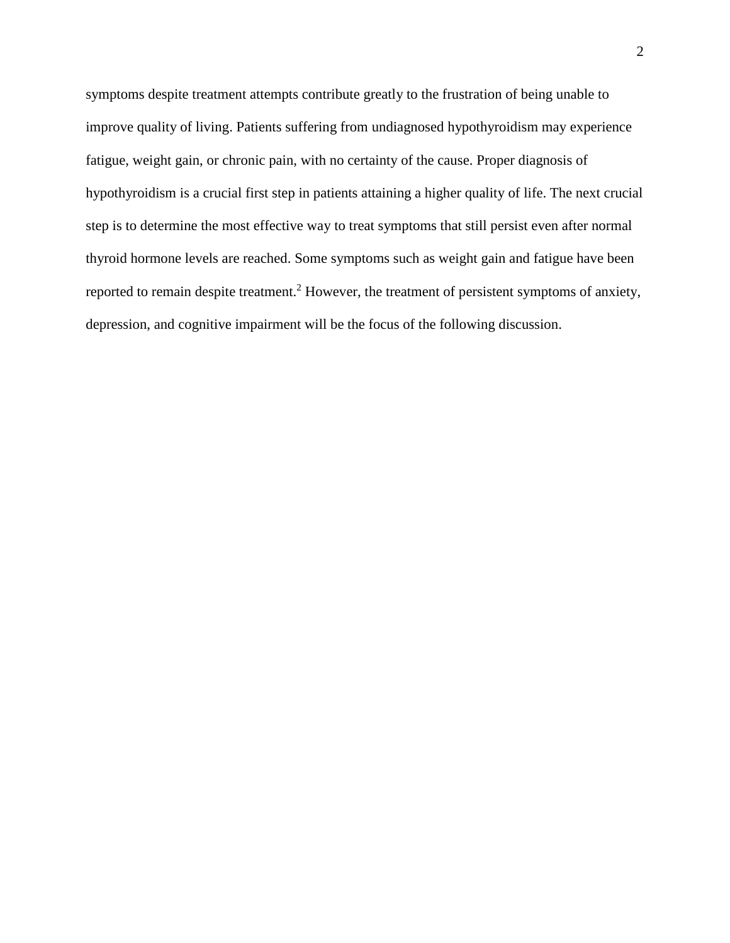symptoms despite treatment attempts contribute greatly to the frustration of being unable to improve quality of living. Patients suffering from undiagnosed hypothyroidism may experience fatigue, weight gain, or chronic pain, with no certainty of the cause. Proper diagnosis of hypothyroidism is a crucial first step in patients attaining a higher quality of life. The next crucial step is to determine the most effective way to treat symptoms that still persist even after normal thyroid hormone levels are reached. Some symptoms such as weight gain and fatigue have been reported to remain despite treatment.<sup>2</sup> However, the treatment of persistent symptoms of anxiety, depression, and cognitive impairment will be the focus of the following discussion.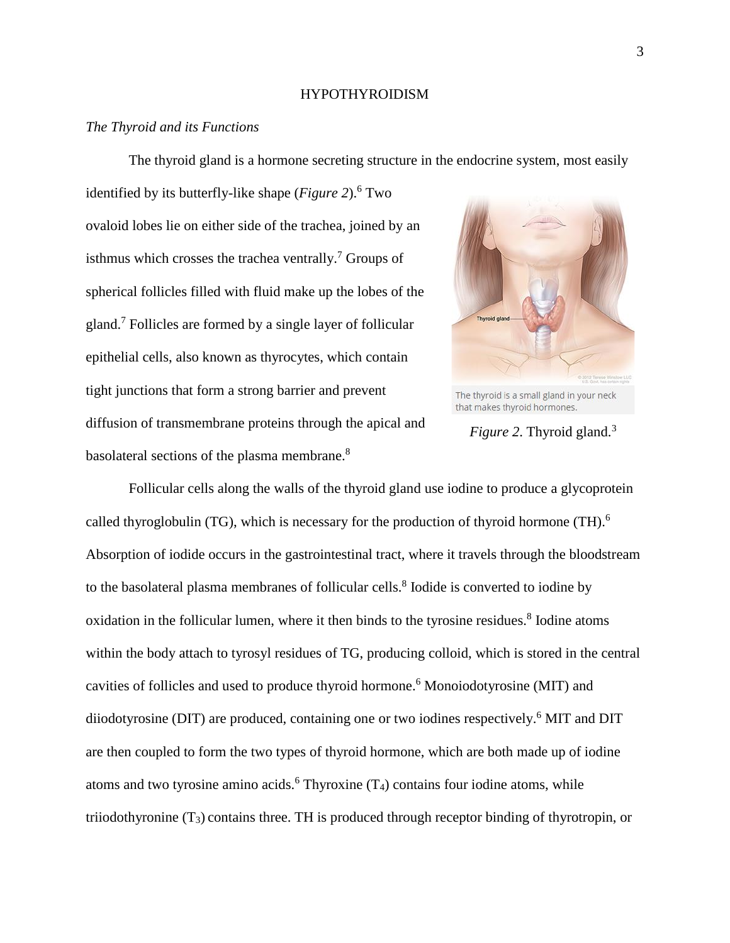# HYPOTHYROIDISM

# *The Thyroid and its Functions*

The thyroid gland is a hormone secreting structure in the endocrine system, most easily

identified by its butterfly-like shape (*Figure 2*). <sup>6</sup> Two ovaloid lobes lie on either side of the trachea, joined by an isthmus which crosses the trachea ventrally.<sup>7</sup> Groups of spherical follicles filled with fluid make up the lobes of the gland.<sup>7</sup> Follicles are formed by a single layer of follicular epithelial cells, also known as thyrocytes, which contain tight junctions that form a strong barrier and prevent diffusion of transmembrane proteins through the apical and basolateral sections of the plasma membrane.<sup>8</sup>



The thyroid is a small gland in your neck that makes thyroid hormones.

*Figure 2.* Thyroid gland.<sup>3</sup>

Follicular cells along the walls of the thyroid gland use iodine to produce a glycoprotein called thyroglobulin (TG), which is necessary for the production of thyroid hormone (TH).<sup>6</sup> Absorption of iodide occurs in the gastrointestinal tract, where it travels through the bloodstream to the basolateral plasma membranes of follicular cells.<sup>8</sup> Iodide is converted to iodine by oxidation in the follicular lumen, where it then binds to the tyrosine residues.<sup>8</sup> Iodine atoms within the body attach to tyrosyl residues of TG, producing colloid, which is stored in the central cavities of follicles and used to produce thyroid hormone. <sup>6</sup> Monoiodotyrosine (MIT) and diiodotyrosine (DIT) are produced, containing one or two iodines respectively.<sup>6</sup> MIT and DIT are then coupled to form the two types of thyroid hormone, which are both made up of iodine atoms and two tyrosine amino acids.<sup>6</sup> Thyroxine  $(T_4)$  contains four iodine atoms, while triiodothyronine (T3) contains three. TH is produced through receptor binding of thyrotropin, or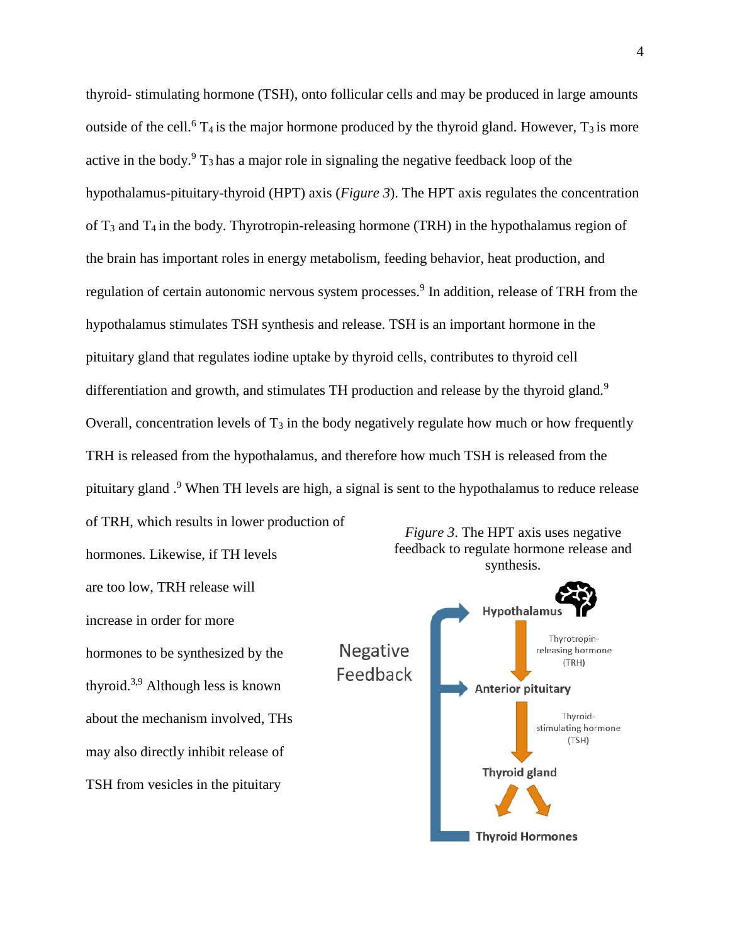thyroid- stimulating hormone (TSH), onto follicular cells and may be produced in large amounts outside of the cell.<sup>6</sup> T<sub>4</sub> is the major hormone produced by the thyroid gland. However, T<sub>3</sub> is more active in the body.<sup>9</sup>  $T_3$  has a major role in signaling the negative feedback loop of the hypothalamus-pituitary-thyroid (HPT) axis (*Figure 3*). The HPT axis regulates the concentration of  $T_3$  and  $T_4$  in the body. Thyrotropin-releasing hormone (TRH) in the hypothalamus region of the brain has important roles in energy metabolism, feeding behavior, heat production, and regulation of certain autonomic nervous system processes.<sup>9</sup> In addition, release of TRH from the hypothalamus stimulates TSH synthesis and release. TSH is an important hormone in the pituitary gland that regulates iodine uptake by thyroid cells, contributes to thyroid cell differentiation and growth, and stimulates TH production and release by the thyroid gland.<sup>9</sup> Overall, concentration levels of  $T_3$  in the body negatively regulate how much or how frequently TRH is released from the hypothalamus, and therefore how much TSH is released from the pituitary gland.<sup>9</sup> When TH levels are high, a signal is sent to the hypothalamus to reduce release

of TRH, which results in lower production of hormones. Likewise, if TH levels are too low, TRH release will increase in order for more hormones to be synthesized by the thyroid.3,9 Although less is known about the mechanism involved, THs may also directly inhibit release of TSH from vesicles in the pituitary



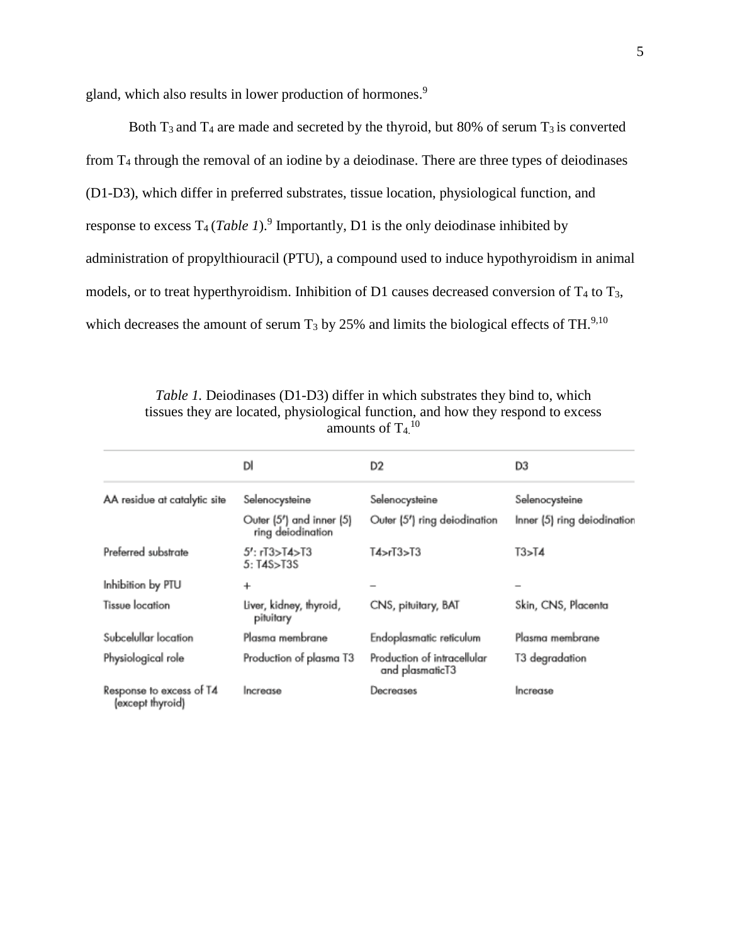gland, which also results in lower production of hormones.<sup>9</sup>

Both  $T_3$  and  $T_4$  are made and secreted by the thyroid, but 80% of serum  $T_3$  is converted from T<sup>4</sup> through the removal of an iodine by a deiodinase. There are three types of deiodinases (D1-D3), which differ in preferred substrates, tissue location, physiological function, and response to excess  $T_4(Table 1)$ .<sup>9</sup> Importantly, D1 is the only deiodinase inhibited by administration of propylthiouracil (PTU), a compound used to induce hypothyroidism in animal models, or to treat hyperthyroidism. Inhibition of D1 causes decreased conversion of  $T_4$  to  $T_3$ , which decreases the amount of serum  $T_3$  by 25% and limits the biological effects of TH.<sup>9,10</sup>

*Table 1.* Deiodinases (D1-D3) differ in which substrates they bind to, which tissues they are located, physiological function, and how they respond to excess amounts of  $T<sub>4</sub>$ <sup>10</sup>

|                                              | DI                                            | D <sub>2</sub>                                 | D3                          |
|----------------------------------------------|-----------------------------------------------|------------------------------------------------|-----------------------------|
| AA residue at catalytic site                 | Selenocysteine                                | Selenocysteine                                 | Selenocysteine              |
|                                              | Outer (5") and inner (5)<br>ring deiodination | Outer (5') ring deiodination                   | Inner (5) ring deiodination |
| Preferred substrate                          | 5': rT3>T4>T3<br>5: T4S>T3S                   | TA > rI3 > T3                                  | T3>T4                       |
| Inhibition by PTU                            | $\ddot{}$                                     |                                                |                             |
| Tissue location                              | Liver, kidney, thyroid,<br>pituitary          | CNS, pituitary, BAT                            | Skin, CNS, Placenta         |
| Subcelullar location                         | Plasma membrane                               | Endoplasmatic reticulum                        | Plasma membrane             |
| Physiological role                           | Production of plasma T3                       | Production of intracellular<br>and plasmaticT3 | T3 degradation              |
| Response to excess of T4<br>(except thyroid) | Increase                                      | Decreases                                      | Increase                    |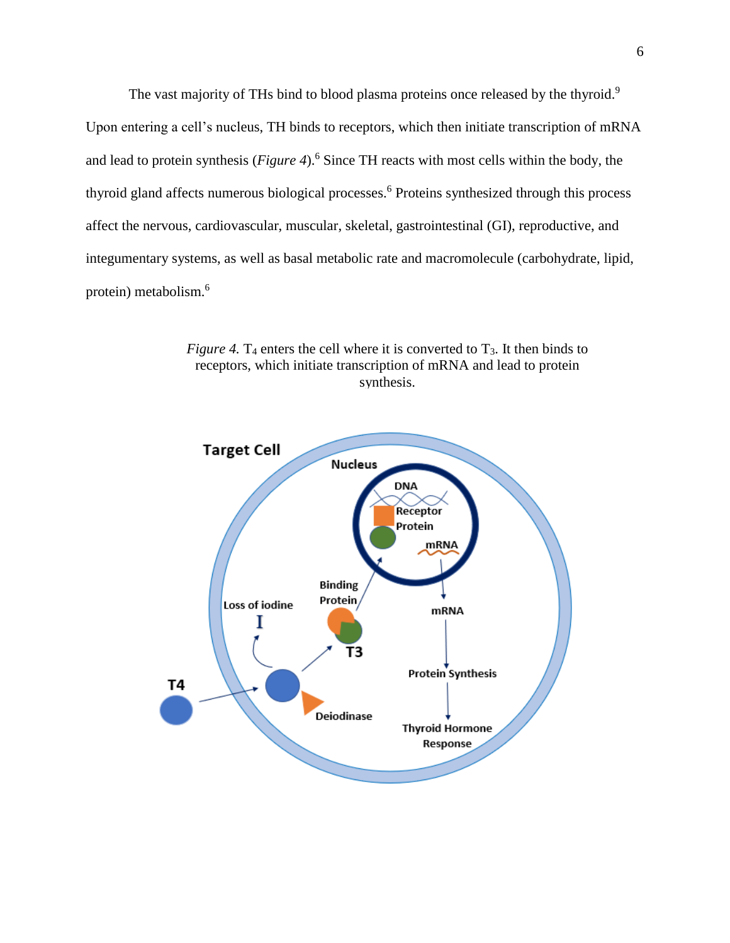The vast majority of THs bind to blood plasma proteins once released by the thyroid.<sup>9</sup> Upon entering a cell's nucleus, TH binds to receptors, which then initiate transcription of mRNA and lead to protein synthesis (*Figure 4*). <sup>6</sup> Since TH reacts with most cells within the body, the thyroid gland affects numerous biological processes.<sup>6</sup> Proteins synthesized through this process affect the nervous, cardiovascular, muscular, skeletal, gastrointestinal (GI), reproductive, and integumentary systems, as well as basal metabolic rate and macromolecule (carbohydrate, lipid, protein) metabolism.<sup>6</sup>



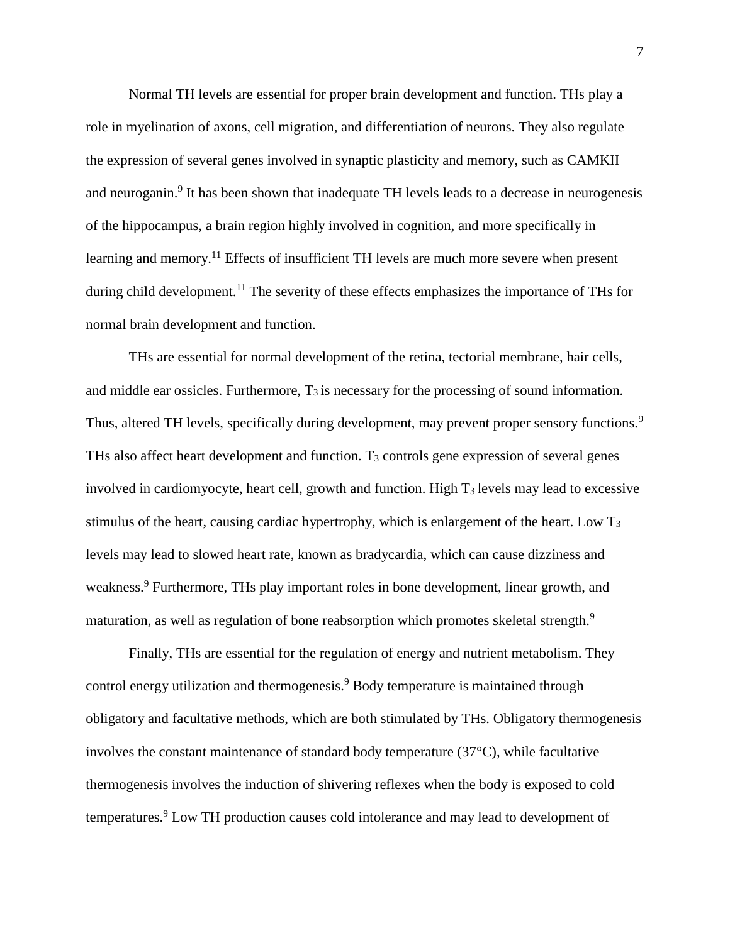Normal TH levels are essential for proper brain development and function. THs play a role in myelination of axons, cell migration, and differentiation of neurons. They also regulate the expression of several genes involved in synaptic plasticity and memory, such as CAMKII and neuroganin.<sup>9</sup> It has been shown that inadequate TH levels leads to a decrease in neurogenesis of the hippocampus, a brain region highly involved in cognition, and more specifically in learning and memory.<sup>11</sup> Effects of insufficient TH levels are much more severe when present during child development.<sup>11</sup> The severity of these effects emphasizes the importance of THs for normal brain development and function.

THs are essential for normal development of the retina, tectorial membrane, hair cells, and middle ear ossicles. Furthermore,  $T_3$  is necessary for the processing of sound information. Thus, altered TH levels, specifically during development, may prevent proper sensory functions.<sup>9</sup> THs also affect heart development and function. T<sup>3</sup> controls gene expression of several genes involved in cardiomyocyte, heart cell, growth and function. High  $T_3$  levels may lead to excessive stimulus of the heart, causing cardiac hypertrophy, which is enlargement of the heart. Low T<sup>3</sup> levels may lead to slowed heart rate, known as bradycardia, which can cause dizziness and weakness.<sup>9</sup> Furthermore, THs play important roles in bone development, linear growth, and maturation, as well as regulation of bone reabsorption which promotes skeletal strength.<sup>9</sup>

Finally, THs are essential for the regulation of energy and nutrient metabolism. They control energy utilization and thermogenesis. <sup>9</sup> Body temperature is maintained through obligatory and facultative methods, which are both stimulated by THs. Obligatory thermogenesis involves the constant maintenance of standard body temperature (37°C), while facultative thermogenesis involves the induction of shivering reflexes when the body is exposed to cold temperatures.<sup>9</sup> Low TH production causes cold intolerance and may lead to development of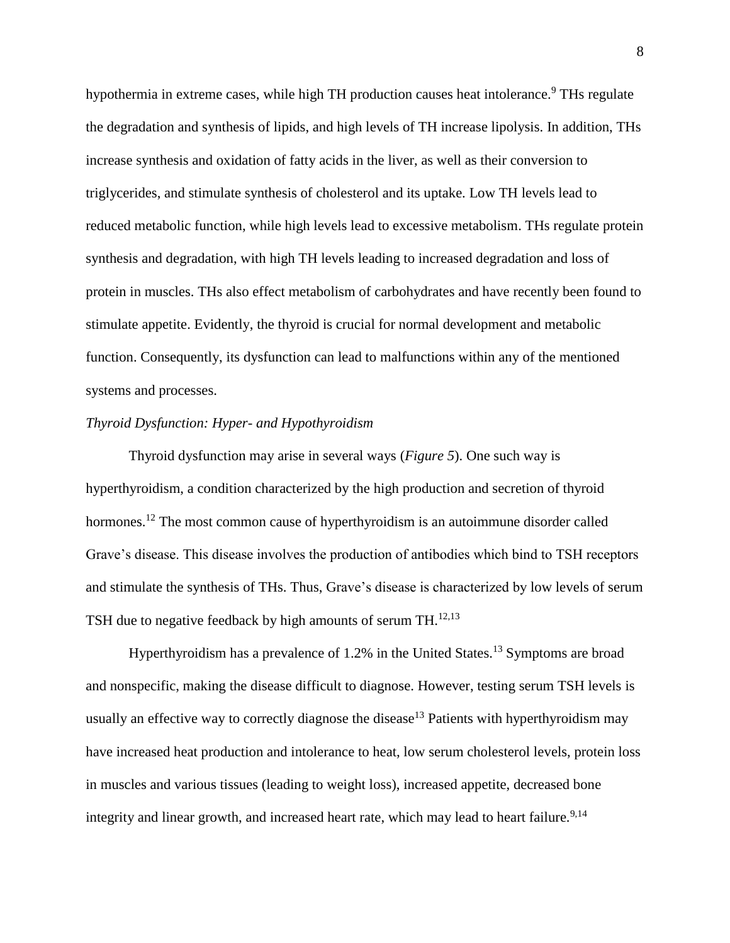hypothermia in extreme cases, while high TH production causes heat intolerance.<sup>9</sup> THs regulate the degradation and synthesis of lipids, and high levels of TH increase lipolysis. In addition, THs increase synthesis and oxidation of fatty acids in the liver, as well as their conversion to triglycerides, and stimulate synthesis of cholesterol and its uptake. Low TH levels lead to reduced metabolic function, while high levels lead to excessive metabolism. THs regulate protein synthesis and degradation, with high TH levels leading to increased degradation and loss of protein in muscles. THs also effect metabolism of carbohydrates and have recently been found to stimulate appetite. Evidently, the thyroid is crucial for normal development and metabolic function. Consequently, its dysfunction can lead to malfunctions within any of the mentioned systems and processes.

# *Thyroid Dysfunction: Hyper- and Hypothyroidism*

Thyroid dysfunction may arise in several ways (*Figure 5*). One such way is hyperthyroidism, a condition characterized by the high production and secretion of thyroid hormones.<sup>12</sup> The most common cause of hyperthyroidism is an autoimmune disorder called Grave's disease. This disease involves the production of antibodies which bind to TSH receptors and stimulate the synthesis of THs. Thus, Grave's disease is characterized by low levels of serum TSH due to negative feedback by high amounts of serum TH.<sup>12,13</sup>

Hyperthyroidism has a prevalence of  $1.2\%$  in the United States.<sup>13</sup> Symptoms are broad and nonspecific, making the disease difficult to diagnose. However, testing serum TSH levels is usually an effective way to correctly diagnose the disease<sup>13</sup> Patients with hyperthyroidism may have increased heat production and intolerance to heat, low serum cholesterol levels, protein loss in muscles and various tissues (leading to weight loss), increased appetite, decreased bone integrity and linear growth, and increased heart rate, which may lead to heart failure.<sup>9,14</sup>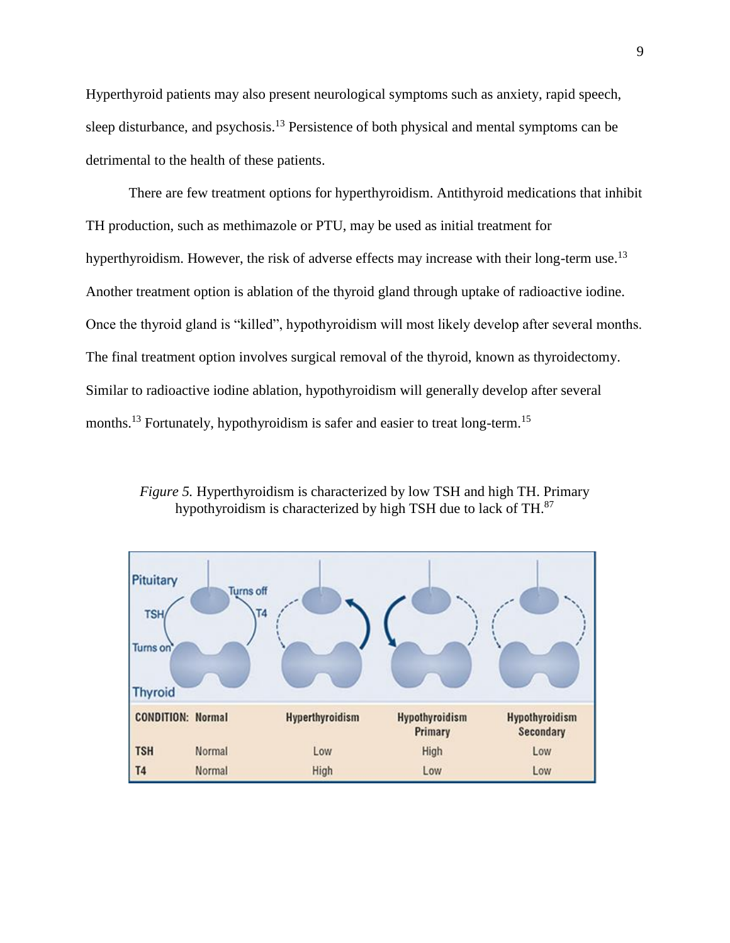Hyperthyroid patients may also present neurological symptoms such as anxiety, rapid speech, sleep disturbance, and psychosis.<sup>13</sup> Persistence of both physical and mental symptoms can be detrimental to the health of these patients.

There are few treatment options for hyperthyroidism. Antithyroid medications that inhibit TH production, such as methimazole or PTU, may be used as initial treatment for hyperthyroidism. However, the risk of adverse effects may increase with their long-term use.<sup>13</sup> Another treatment option is ablation of the thyroid gland through uptake of radioactive iodine. Once the thyroid gland is "killed", hypothyroidism will most likely develop after several months. The final treatment option involves surgical removal of the thyroid, known as thyroidectomy. Similar to radioactive iodine ablation, hypothyroidism will generally develop after several months.<sup>13</sup> Fortunately, hypothyroidism is safer and easier to treat long-term.<sup>15</sup>

*Figure 5.* Hyperthyroidism is characterized by low TSH and high TH. Primary hypothyroidism is characterized by high TSH due to lack of TH.<sup>87</sup>

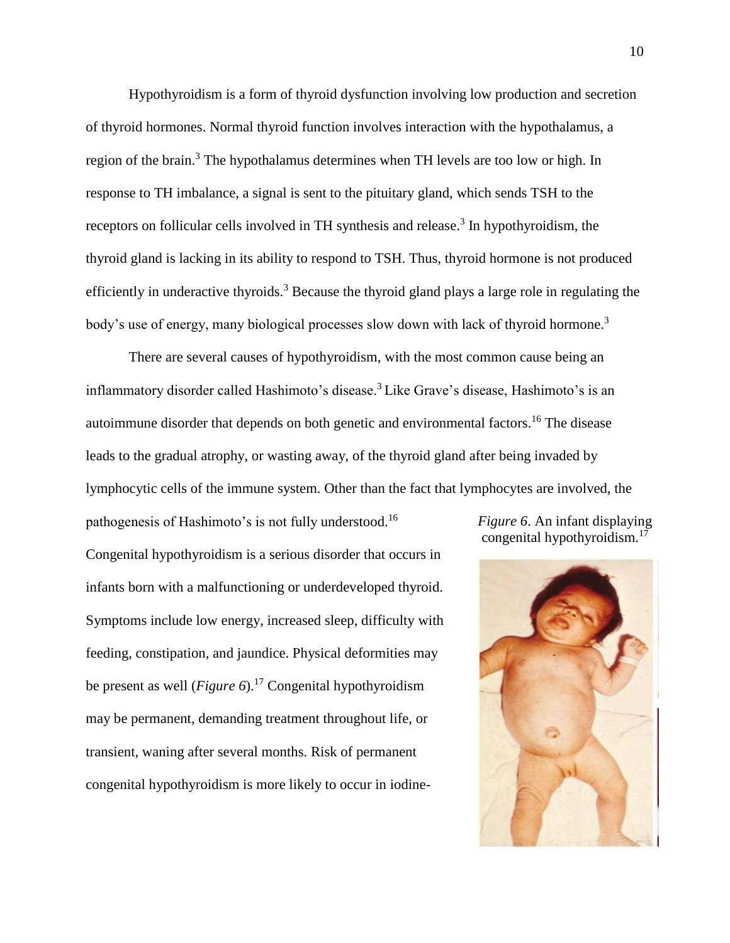Hypothyroidism is a form of thyroid dysfunction involving low production and secretion of thyroid hormones. Normal thyroid function involves interaction with the hypothalamus, a region of the brain.<sup>3</sup> The hypothalamus determines when TH levels are too low or high. In response to TH imbalance, a signal is sent to the pituitary gland, which sends TSH to the receptors on follicular cells involved in TH synthesis and release.<sup>3</sup> In hypothyroidism, the thyroid gland is lacking in its ability to respond to TSH. Thus, thyroid hormone is not produced efficiently in underactive thyroids.<sup>3</sup> Because the thyroid gland plays a large role in regulating the body's use of energy, many biological processes slow down with lack of thyroid hormone.<sup>3</sup>

There are several causes of hypothyroidism, with the most common cause being an inflammatory disorder called Hashimoto's disease.<sup>3</sup> Like Grave's disease, Hashimoto's is an autoimmune disorder that depends on both genetic and environmental factors.<sup>16</sup> The disease leads to the gradual atrophy, or wasting away, of the thyroid gland after being invaded by lymphocytic cells of the immune system. Other than the fact that lymphocytes are involved, the

pathogenesis of Hashimoto's is not fully understood.<sup>16</sup> Congenital hypothyroidism is a serious disorder that occurs in infants born with a malfunctioning or underdeveloped thyroid. Symptoms include low energy, increased sleep, difficulty with feeding, constipation, and jaundice. Physical deformities may be present as well (*Figure 6*).<sup>17</sup> Congenital hypothyroidism may be permanent, demanding treatment throughout life, or transient, waning after several months. Risk of permanent congenital hypothyroidism is more likely to occur in iodine-

*Figure 6*. An infant displaying congenital hypothyroidism. $^{17}$ 

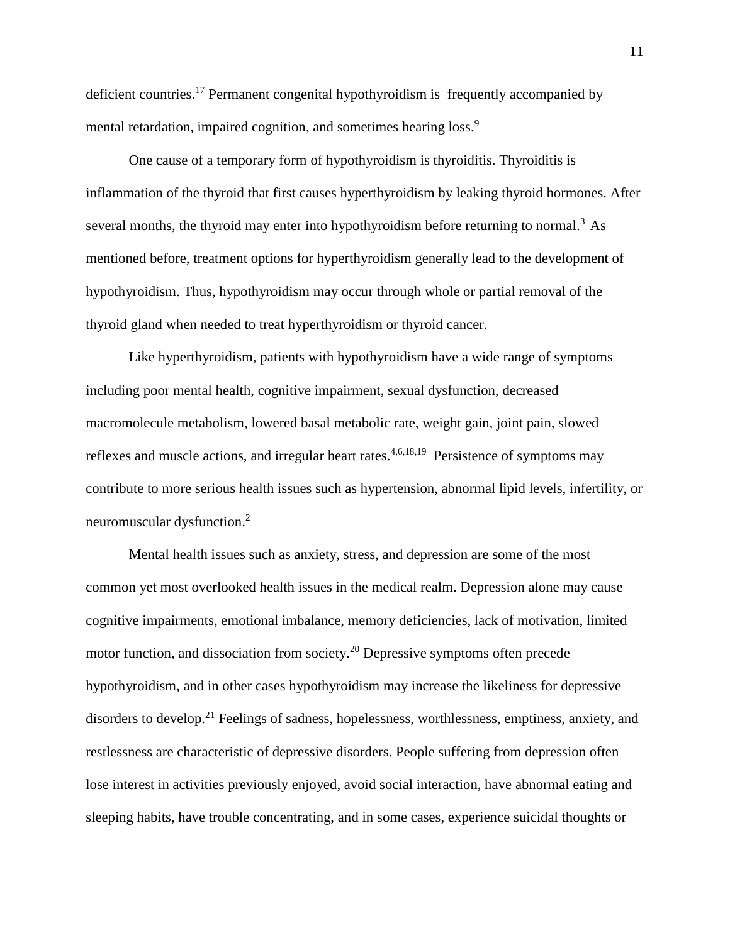deficient countries.<sup>17</sup> Permanent congenital hypothyroidism is frequently accompanied by mental retardation, impaired cognition, and sometimes hearing loss.<sup>9</sup>

One cause of a temporary form of hypothyroidism is thyroiditis. Thyroiditis is inflammation of the thyroid that first causes hyperthyroidism by leaking thyroid hormones. After several months, the thyroid may enter into hypothyroidism before returning to normal.<sup>3</sup> As mentioned before, treatment options for hyperthyroidism generally lead to the development of hypothyroidism. Thus, hypothyroidism may occur through whole or partial removal of the thyroid gland when needed to treat hyperthyroidism or thyroid cancer.

Like hyperthyroidism, patients with hypothyroidism have a wide range of symptoms including poor mental health, cognitive impairment, sexual dysfunction, decreased macromolecule metabolism, lowered basal metabolic rate, weight gain, joint pain, slowed reflexes and muscle actions, and irregular heart rates. $4,6,18,19$  Persistence of symptoms may contribute to more serious health issues such as hypertension, abnormal lipid levels, infertility, or neuromuscular dysfunction.<sup>2</sup>

Mental health issues such as anxiety, stress, and depression are some of the most common yet most overlooked health issues in the medical realm. Depression alone may cause cognitive impairments, emotional imbalance, memory deficiencies, lack of motivation, limited motor function, and dissociation from society.<sup>20</sup> Depressive symptoms often precede hypothyroidism, and in other cases hypothyroidism may increase the likeliness for depressive disorders to develop.<sup>21</sup> Feelings of sadness, hopelessness, worthlessness, emptiness, anxiety, and restlessness are characteristic of depressive disorders. People suffering from depression often lose interest in activities previously enjoyed, avoid social interaction, have abnormal eating and sleeping habits, have trouble concentrating, and in some cases, experience suicidal thoughts or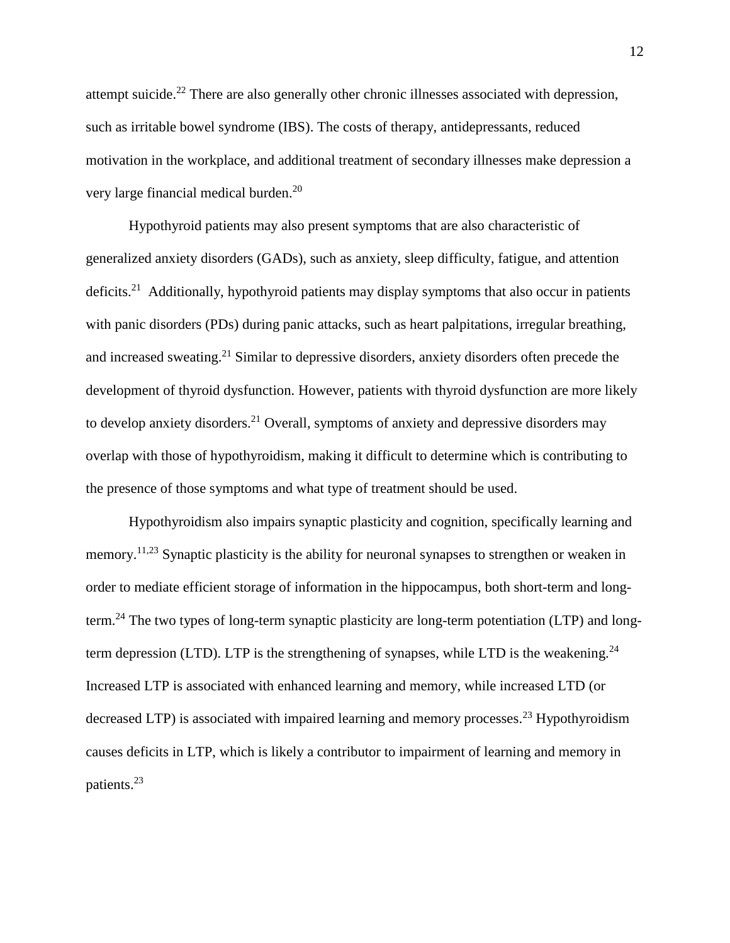attempt suicide.<sup>22</sup> There are also generally other chronic illnesses associated with depression, such as irritable bowel syndrome (IBS). The costs of therapy, antidepressants, reduced motivation in the workplace, and additional treatment of secondary illnesses make depression a very large financial medical burden.<sup>20</sup>

Hypothyroid patients may also present symptoms that are also characteristic of generalized anxiety disorders (GADs), such as anxiety, sleep difficulty, fatigue, and attention deficits.<sup>21</sup> Additionally, hypothyroid patients may display symptoms that also occur in patients with panic disorders (PDs) during panic attacks, such as heart palpitations, irregular breathing, and increased sweating.<sup>21</sup> Similar to depressive disorders, anxiety disorders often precede the development of thyroid dysfunction. However, patients with thyroid dysfunction are more likely to develop anxiety disorders.<sup>21</sup> Overall, symptoms of anxiety and depressive disorders may overlap with those of hypothyroidism, making it difficult to determine which is contributing to the presence of those symptoms and what type of treatment should be used.

Hypothyroidism also impairs synaptic plasticity and cognition, specifically learning and memory.<sup>11,23</sup> Synaptic plasticity is the ability for neuronal synapses to strengthen or weaken in order to mediate efficient storage of information in the hippocampus, both short-term and longterm.<sup>24</sup> The two types of long-term synaptic plasticity are long-term potentiation (LTP) and longterm depression (LTD). LTP is the strengthening of synapses, while LTD is the weakening.<sup>24</sup> Increased LTP is associated with enhanced learning and memory, while increased LTD (or decreased LTP) is associated with impaired learning and memory processes.<sup>23</sup> Hypothyroidism causes deficits in LTP, which is likely a contributor to impairment of learning and memory in patients.<sup>23</sup>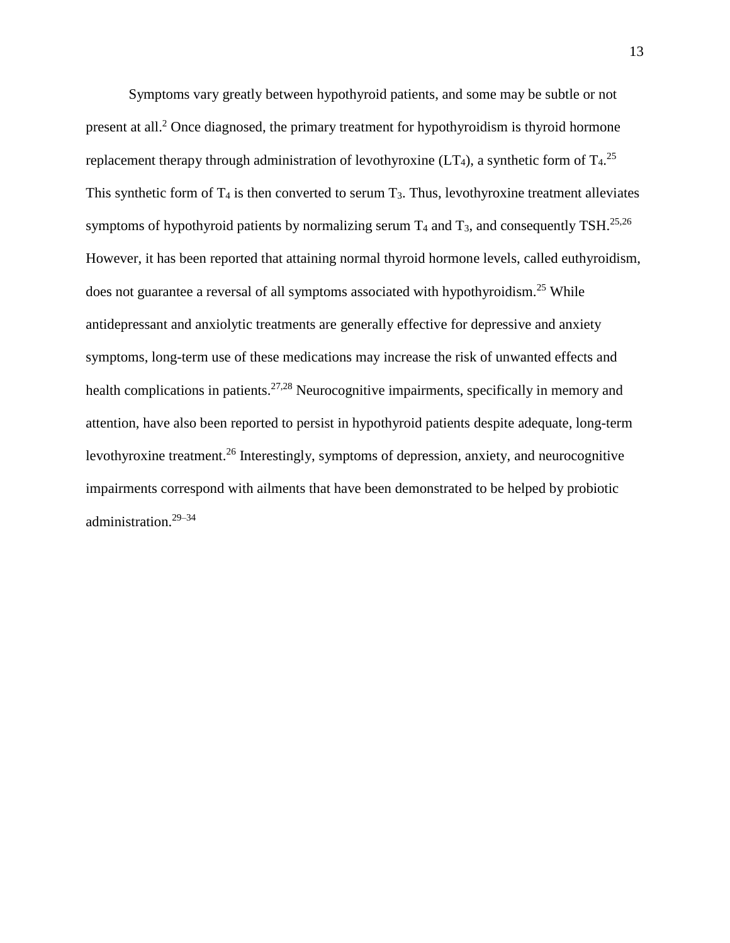Symptoms vary greatly between hypothyroid patients, and some may be subtle or not present at all.<sup>2</sup> Once diagnosed, the primary treatment for hypothyroidism is thyroid hormone replacement therapy through administration of levothyroxine (LT<sub>4</sub>), a synthetic form of T<sub>4</sub>.<sup>25</sup> This synthetic form of  $T_4$  is then converted to serum  $T_3$ . Thus, levothyroxine treatment alleviates symptoms of hypothyroid patients by normalizing serum  $T_4$  and  $T_3$ , and consequently TSH.<sup>25,26</sup> However, it has been reported that attaining normal thyroid hormone levels, called euthyroidism, does not guarantee a reversal of all symptoms associated with hypothyroidism.<sup>25</sup> While antidepressant and anxiolytic treatments are generally effective for depressive and anxiety symptoms, long-term use of these medications may increase the risk of unwanted effects and health complications in patients.<sup>27,28</sup> Neurocognitive impairments, specifically in memory and attention, have also been reported to persist in hypothyroid patients despite adequate, long-term levothyroxine treatment.<sup>26</sup> Interestingly, symptoms of depression, anxiety, and neurocognitive impairments correspond with ailments that have been demonstrated to be helped by probiotic administration.29–34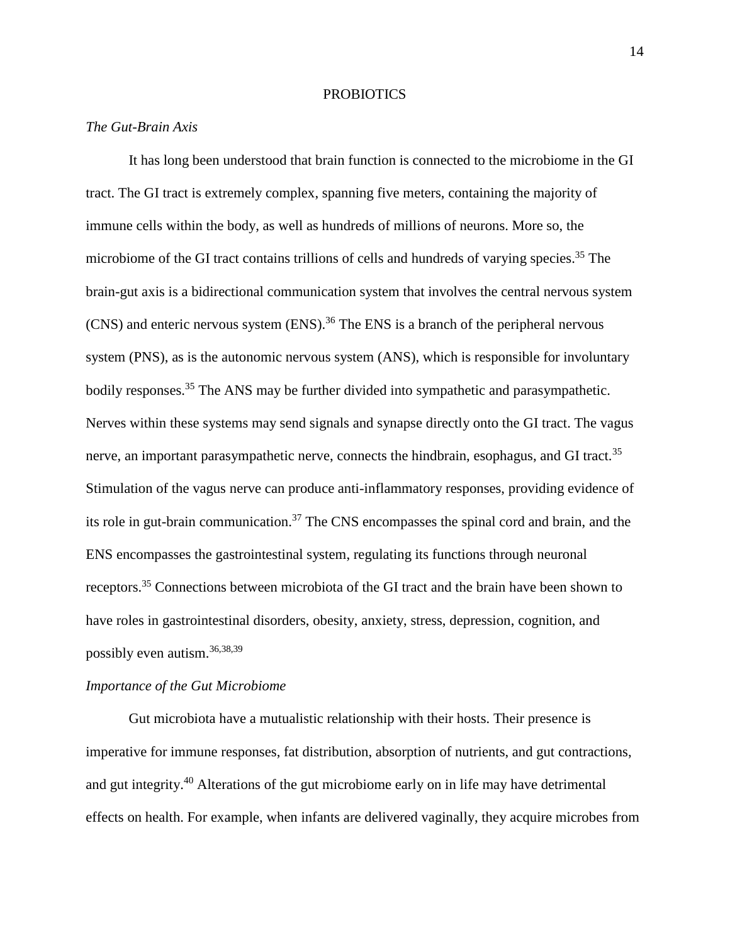# **PROBIOTICS**

# *The Gut-Brain Axis*

It has long been understood that brain function is connected to the microbiome in the GI tract. The GI tract is extremely complex, spanning five meters, containing the majority of immune cells within the body, as well as hundreds of millions of neurons. More so, the microbiome of the GI tract contains trillions of cells and hundreds of varying species.<sup>35</sup> The brain-gut axis is a bidirectional communication system that involves the central nervous system (CNS) and enteric nervous system (ENS). <sup>36</sup> The ENS is a branch of the peripheral nervous system (PNS), as is the autonomic nervous system (ANS), which is responsible for involuntary bodily responses.<sup>35</sup> The ANS may be further divided into sympathetic and parasympathetic. Nerves within these systems may send signals and synapse directly onto the GI tract. The vagus nerve, an important parasympathetic nerve, connects the hindbrain, esophagus, and GI tract.<sup>35</sup> Stimulation of the vagus nerve can produce anti-inflammatory responses, providing evidence of its role in gut-brain communication.<sup>37</sup> The CNS encompasses the spinal cord and brain, and the ENS encompasses the gastrointestinal system, regulating its functions through neuronal receptors.<sup>35</sup> Connections between microbiota of the GI tract and the brain have been shown to have roles in gastrointestinal disorders, obesity, anxiety, stress, depression, cognition, and possibly even autism.36,38,39

#### *Importance of the Gut Microbiome*

Gut microbiota have a mutualistic relationship with their hosts. Their presence is imperative for immune responses, fat distribution, absorption of nutrients, and gut contractions, and gut integrity.<sup>40</sup> Alterations of the gut microbiome early on in life may have detrimental effects on health. For example, when infants are delivered vaginally, they acquire microbes from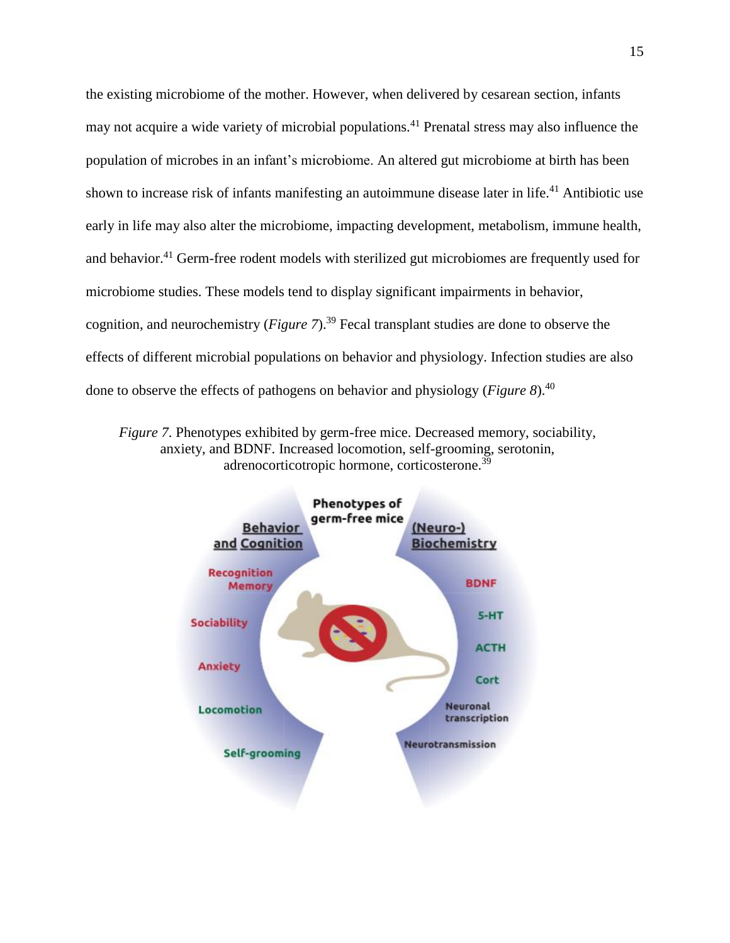the existing microbiome of the mother. However, when delivered by cesarean section, infants may not acquire a wide variety of microbial populations.<sup>41</sup> Prenatal stress may also influence the population of microbes in an infant's microbiome. An altered gut microbiome at birth has been shown to increase risk of infants manifesting an autoimmune disease later in life.<sup>41</sup> Antibiotic use early in life may also alter the microbiome, impacting development, metabolism, immune health, and behavior.<sup>41</sup> Germ-free rodent models with sterilized gut microbiomes are frequently used for microbiome studies. These models tend to display significant impairments in behavior, cognition, and neurochemistry (*Figure 7*).<sup>39</sup> Fecal transplant studies are done to observe the effects of different microbial populations on behavior and physiology. Infection studies are also done to observe the effects of pathogens on behavior and physiology (*Figure 8*). 40

*Figure 7*. Phenotypes exhibited by germ-free mice. Decreased memory, sociability, anxiety, and BDNF. Increased locomotion, self-grooming, serotonin, adrenocorticotropic hormone, corticosterone.<sup>39</sup>

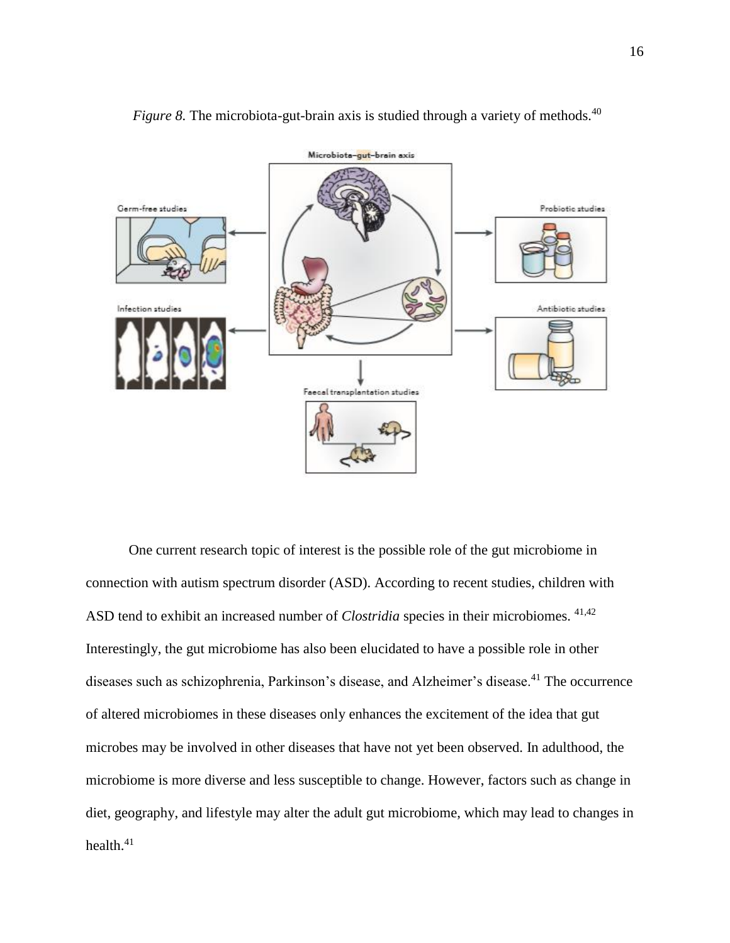

*Figure 8.* The microbiota-gut-brain axis is studied through a variety of methods.<sup>40</sup>

One current research topic of interest is the possible role of the gut microbiome in connection with autism spectrum disorder (ASD). According to recent studies, children with ASD tend to exhibit an increased number of *Clostridia* species in their microbiomes. 41,42 Interestingly, the gut microbiome has also been elucidated to have a possible role in other diseases such as schizophrenia, Parkinson's disease, and Alzheimer's disease.<sup>41</sup> The occurrence of altered microbiomes in these diseases only enhances the excitement of the idea that gut microbes may be involved in other diseases that have not yet been observed. In adulthood, the microbiome is more diverse and less susceptible to change. However, factors such as change in diet, geography, and lifestyle may alter the adult gut microbiome, which may lead to changes in health.<sup>41</sup>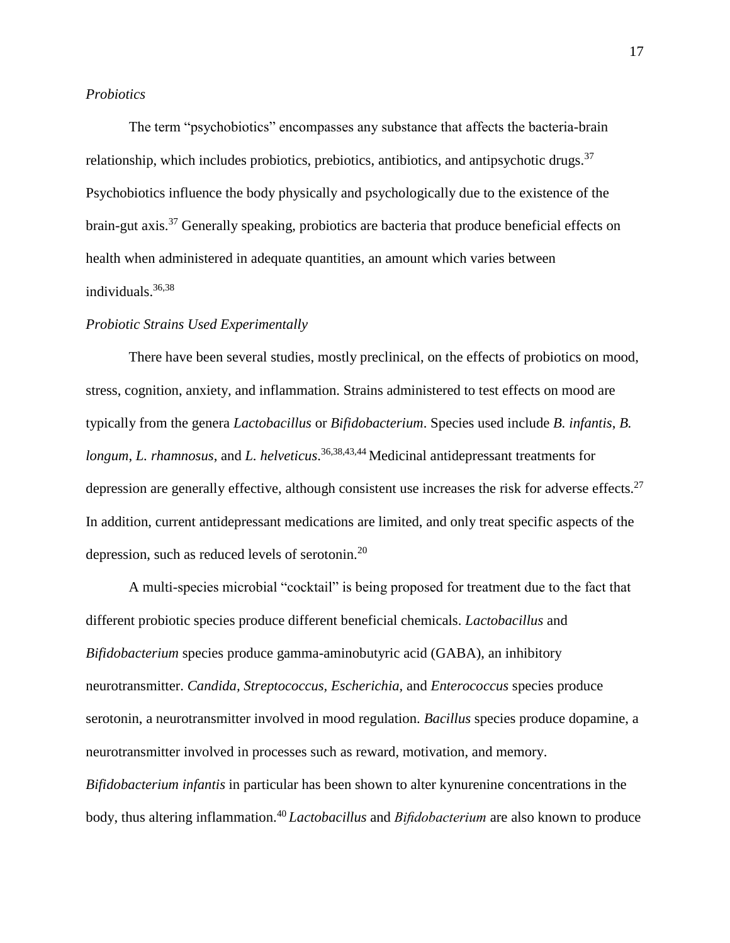# *Probiotics*

The term "psychobiotics" encompasses any substance that affects the bacteria-brain relationship, which includes probiotics, prebiotics, antibiotics, and antipsychotic drugs.  $37$ Psychobiotics influence the body physically and psychologically due to the existence of the brain-gut axis.<sup>37</sup> Generally speaking, probiotics are bacteria that produce beneficial effects on health when administered in adequate quantities, an amount which varies between individuals. 36,38

# *Probiotic Strains Used Experimentally*

There have been several studies, mostly preclinical, on the effects of probiotics on mood, stress, cognition, anxiety, and inflammation. Strains administered to test effects on mood are typically from the genera *Lactobacillus* or *Bifidobacterium*. Species used include *B. infantis*, *B. longum*, *L. rhamnosus*, and *L. helveticus*. 36,38,43,44 Medicinal antidepressant treatments for depression are generally effective, although consistent use increases the risk for adverse effects.<sup>27</sup> In addition, current antidepressant medications are limited, and only treat specific aspects of the depression, such as reduced levels of serotonin.<sup>20</sup>

A multi-species microbial "cocktail" is being proposed for treatment due to the fact that different probiotic species produce different beneficial chemicals. *Lactobacillus* and *Bifidobacterium* species produce gamma-aminobutyric acid (GABA), an inhibitory neurotransmitter. *Candida, Streptococcus, Escherichia,* and *Enterococcus* species produce serotonin, a neurotransmitter involved in mood regulation. *Bacillus* species produce dopamine, a neurotransmitter involved in processes such as reward, motivation, and memory. *Bifidobacterium infantis* in particular has been shown to alter kynurenine concentrations in the body, thus altering inflammation.<sup>40</sup> *Lactobacillus* and *Bifidobacterium* are also known to produce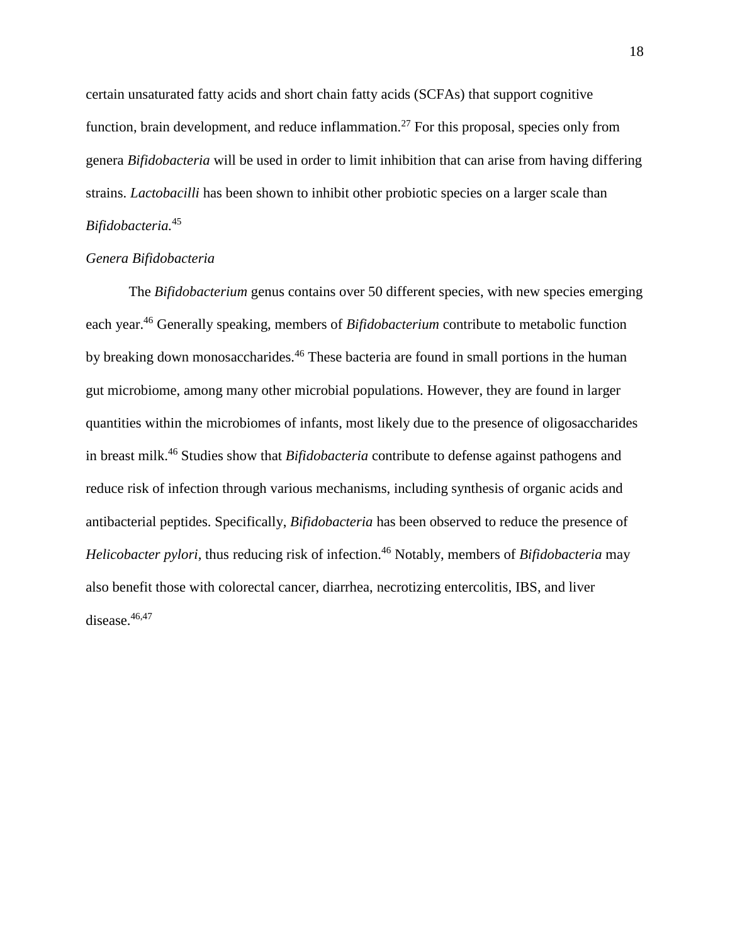certain unsaturated fatty acids and short chain fatty acids (SCFAs) that support cognitive function, brain development, and reduce inflammation.<sup>27</sup> For this proposal, species only from genera *Bifidobacteria* will be used in order to limit inhibition that can arise from having differing strains. *Lactobacilli* has been shown to inhibit other probiotic species on a larger scale than *Bifidobacteria.*<sup>45</sup>

# *Genera Bifidobacteria*

The *Bifidobacterium* genus contains over 50 different species, with new species emerging each year.<sup>46</sup> Generally speaking, members of *Bifidobacterium* contribute to metabolic function by breaking down monosaccharides.<sup>46</sup> These bacteria are found in small portions in the human gut microbiome, among many other microbial populations. However, they are found in larger quantities within the microbiomes of infants, most likely due to the presence of oligosaccharides in breast milk.<sup>46</sup> Studies show that *Bifidobacteria* contribute to defense against pathogens and reduce risk of infection through various mechanisms, including synthesis of organic acids and antibacterial peptides. Specifically, *Bifidobacteria* has been observed to reduce the presence of *Helicobacter pylori, thus reducing risk of infection.*<sup>46</sup> Notably, members of *Bifidobacteria* may also benefit those with colorectal cancer, diarrhea, necrotizing entercolitis, IBS, and liver disease.<sup>46,47</sup>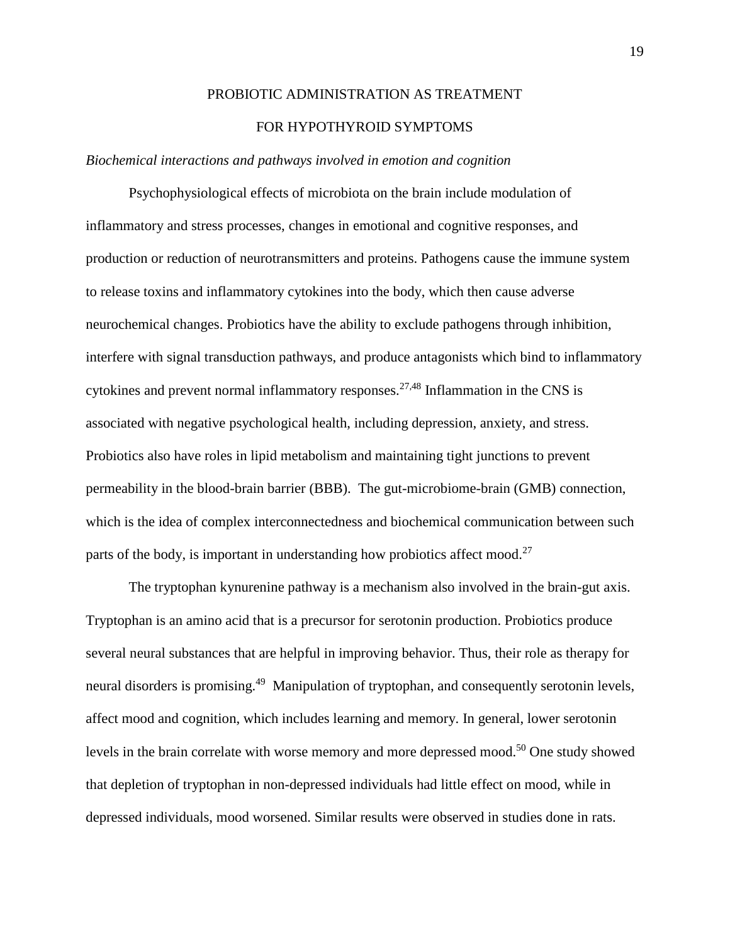# PROBIOTIC ADMINISTRATION AS TREATMENT

# FOR HYPOTHYROID SYMPTOMS

# *Biochemical interactions and pathways involved in emotion and cognition*

Psychophysiological effects of microbiota on the brain include modulation of inflammatory and stress processes, changes in emotional and cognitive responses, and production or reduction of neurotransmitters and proteins. Pathogens cause the immune system to release toxins and inflammatory cytokines into the body, which then cause adverse neurochemical changes. Probiotics have the ability to exclude pathogens through inhibition, interfere with signal transduction pathways, and produce antagonists which bind to inflammatory cytokines and prevent normal inflammatory responses.<sup>27,48</sup> Inflammation in the CNS is associated with negative psychological health, including depression, anxiety, and stress. Probiotics also have roles in lipid metabolism and maintaining tight junctions to prevent permeability in the blood-brain barrier (BBB). The gut-microbiome-brain (GMB) connection, which is the idea of complex interconnectedness and biochemical communication between such parts of the body, is important in understanding how probiotics affect mood.<sup>27</sup>

The tryptophan kynurenine pathway is a mechanism also involved in the brain-gut axis. Tryptophan is an amino acid that is a precursor for serotonin production. Probiotics produce several neural substances that are helpful in improving behavior. Thus, their role as therapy for neural disorders is promising.<sup>49</sup> Manipulation of tryptophan, and consequently serotonin levels, affect mood and cognition, which includes learning and memory. In general, lower serotonin levels in the brain correlate with worse memory and more depressed mood.<sup>50</sup> One study showed that depletion of tryptophan in non-depressed individuals had little effect on mood, while in depressed individuals, mood worsened. Similar results were observed in studies done in rats.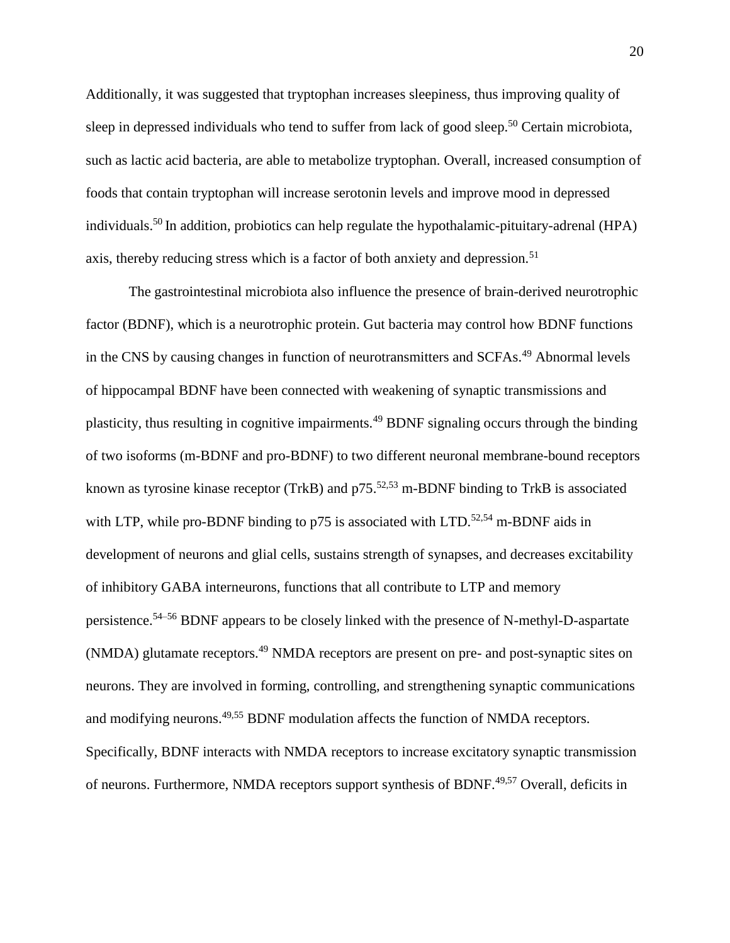Additionally, it was suggested that tryptophan increases sleepiness, thus improving quality of sleep in depressed individuals who tend to suffer from lack of good sleep.<sup>50</sup> Certain microbiota, such as lactic acid bacteria, are able to metabolize tryptophan. Overall, increased consumption of foods that contain tryptophan will increase serotonin levels and improve mood in depressed individuals.<sup>50</sup> In addition, probiotics can help regulate the hypothalamic-pituitary-adrenal (HPA) axis, thereby reducing stress which is a factor of both anxiety and depression.<sup>51</sup>

The gastrointestinal microbiota also influence the presence of brain-derived neurotrophic factor (BDNF), which is a neurotrophic protein. Gut bacteria may control how BDNF functions in the CNS by causing changes in function of neurotransmitters and SCFAs.<sup>49</sup> Abnormal levels of hippocampal BDNF have been connected with weakening of synaptic transmissions and plasticity, thus resulting in cognitive impairments.<sup>49</sup> BDNF signaling occurs through the binding of two isoforms (m-BDNF and pro-BDNF) to two different neuronal membrane-bound receptors known as tyrosine kinase receptor (TrkB) and  $p75$ <sup>52,53</sup> m-BDNF binding to TrkB is associated with LTP, while pro-BDNF binding to  $p75$  is associated with LTD.<sup>52,54</sup> m-BDNF aids in development of neurons and glial cells, sustains strength of synapses, and decreases excitability of inhibitory GABA interneurons, functions that all contribute to LTP and memory persistence.54–56 BDNF appears to be closely linked with the presence of N-methyl-D-aspartate (NMDA) glutamate receptors.<sup>49</sup> NMDA receptors are present on pre- and post-synaptic sites on neurons. They are involved in forming, controlling, and strengthening synaptic communications and modifying neurons.<sup>49,55</sup> BDNF modulation affects the function of NMDA receptors. Specifically, BDNF interacts with NMDA receptors to increase excitatory synaptic transmission of neurons. Furthermore, NMDA receptors support synthesis of BDNF.<sup>49,57</sup> Overall, deficits in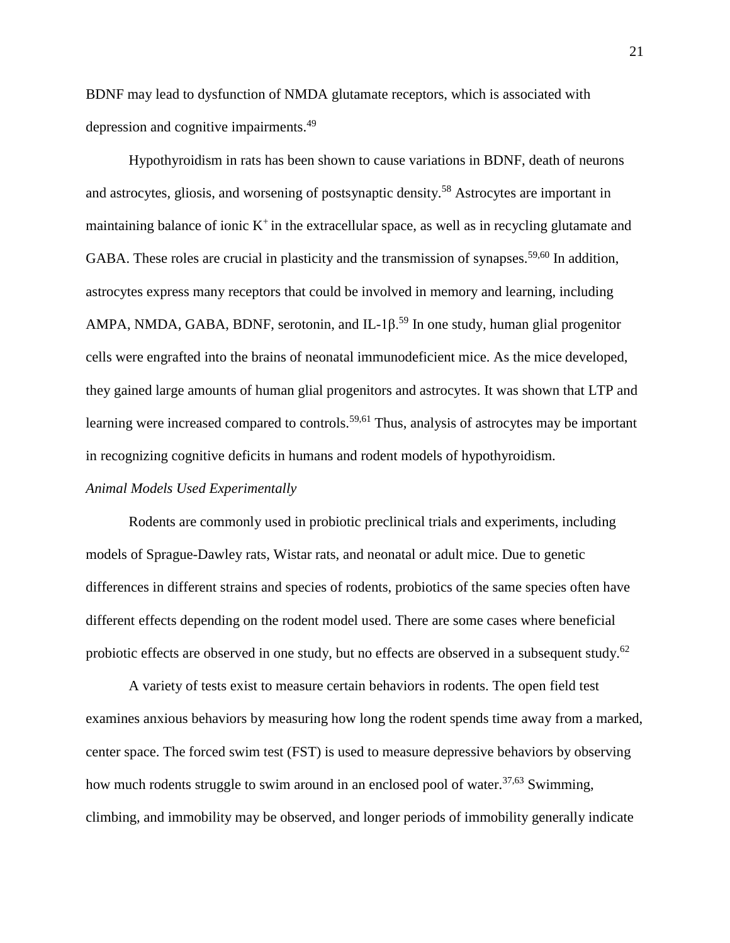BDNF may lead to dysfunction of NMDA glutamate receptors, which is associated with depression and cognitive impairments.<sup>49</sup>

Hypothyroidism in rats has been shown to cause variations in BDNF, death of neurons and astrocytes, gliosis, and worsening of postsynaptic density.<sup>58</sup> Astrocytes are important in maintaining balance of ionic  $K^+$  in the extracellular space, as well as in recycling glutamate and GABA. These roles are crucial in plasticity and the transmission of synapses.<sup>59,60</sup> In addition, astrocytes express many receptors that could be involved in memory and learning, including AMPA, NMDA, GABA, BDNF, serotonin, and IL-1 $\beta$ <sup>59</sup> In one study, human glial progenitor cells were engrafted into the brains of neonatal immunodeficient mice. As the mice developed, they gained large amounts of human glial progenitors and astrocytes. It was shown that LTP and learning were increased compared to controls.<sup>59,61</sup> Thus, analysis of astrocytes may be important in recognizing cognitive deficits in humans and rodent models of hypothyroidism.

# *Animal Models Used Experimentally*

Rodents are commonly used in probiotic preclinical trials and experiments, including models of Sprague-Dawley rats, Wistar rats, and neonatal or adult mice. Due to genetic differences in different strains and species of rodents, probiotics of the same species often have different effects depending on the rodent model used. There are some cases where beneficial probiotic effects are observed in one study, but no effects are observed in a subsequent study.<sup>62</sup>

A variety of tests exist to measure certain behaviors in rodents. The open field test examines anxious behaviors by measuring how long the rodent spends time away from a marked, center space. The forced swim test (FST) is used to measure depressive behaviors by observing how much rodents struggle to swim around in an enclosed pool of water.<sup>37,63</sup> Swimming, climbing, and immobility may be observed, and longer periods of immobility generally indicate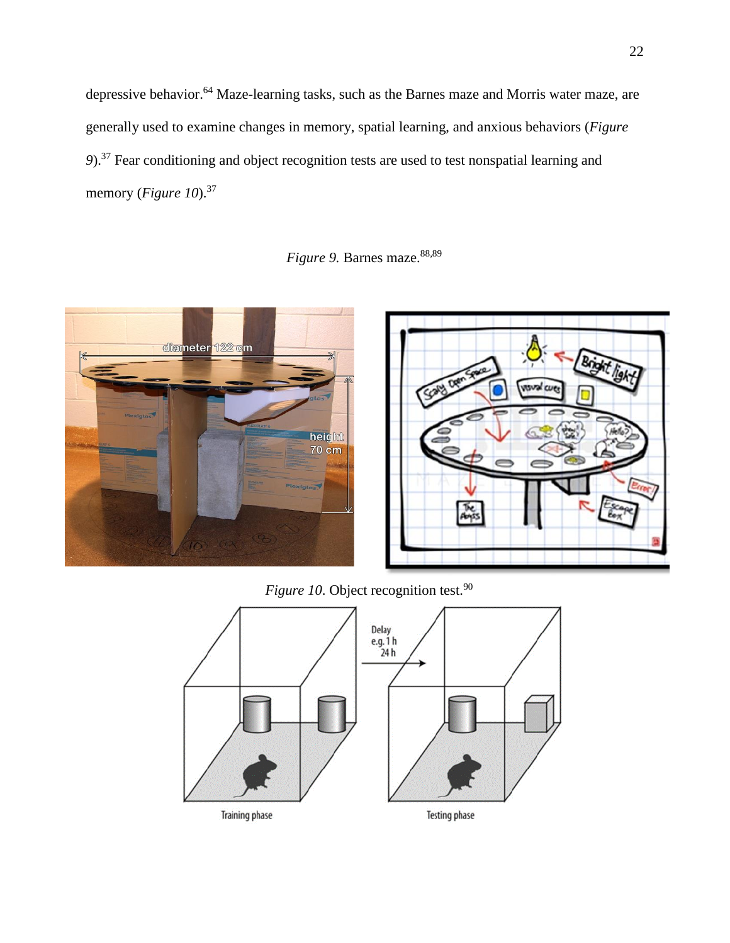depressive behavior.<sup>64</sup> Maze-learning tasks, such as the Barnes maze and Morris water maze, are generally used to examine changes in memory, spatial learning, and anxious behaviors (*Figure 9*). <sup>37</sup> Fear conditioning and object recognition tests are used to test nonspatial learning and memory (*Figure 10*). 37

*Figure 9.* Barnes maze. 88,89





*Figure 10*. Object recognition test.<sup>90</sup>

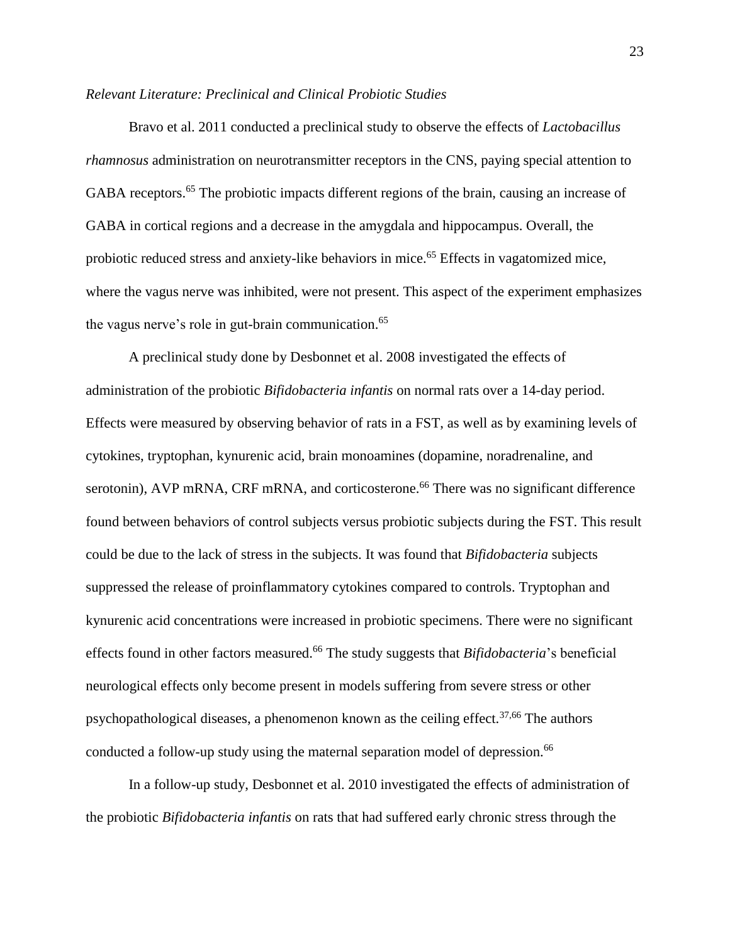# *Relevant Literature: Preclinical and Clinical Probiotic Studies*

Bravo et al. 2011 conducted a preclinical study to observe the effects of *Lactobacillus rhamnosus* administration on neurotransmitter receptors in the CNS, paying special attention to GABA receptors.<sup>65</sup> The probiotic impacts different regions of the brain, causing an increase of GABA in cortical regions and a decrease in the amygdala and hippocampus. Overall, the probiotic reduced stress and anxiety-like behaviors in mice.<sup>65</sup> Effects in vagatomized mice, where the vagus nerve was inhibited, were not present. This aspect of the experiment emphasizes the vagus nerve's role in gut-brain communication.<sup>65</sup>

A preclinical study done by Desbonnet et al. 2008 investigated the effects of administration of the probiotic *Bifidobacteria infantis* on normal rats over a 14-day period. Effects were measured by observing behavior of rats in a FST, as well as by examining levels of cytokines, tryptophan, kynurenic acid, brain monoamines (dopamine, noradrenaline, and serotonin), AVP mRNA, CRF mRNA, and corticosterone.<sup>66</sup> There was no significant difference found between behaviors of control subjects versus probiotic subjects during the FST. This result could be due to the lack of stress in the subjects. It was found that *Bifidobacteria* subjects suppressed the release of proinflammatory cytokines compared to controls. Tryptophan and kynurenic acid concentrations were increased in probiotic specimens. There were no significant effects found in other factors measured.<sup>66</sup> The study suggests that *Bifidobacteria*'s beneficial neurological effects only become present in models suffering from severe stress or other psychopathological diseases, a phenomenon known as the ceiling effect.<sup>37,66</sup> The authors conducted a follow-up study using the maternal separation model of depression.<sup>66</sup>

In a follow-up study, Desbonnet et al. 2010 investigated the effects of administration of the probiotic *Bifidobacteria infantis* on rats that had suffered early chronic stress through the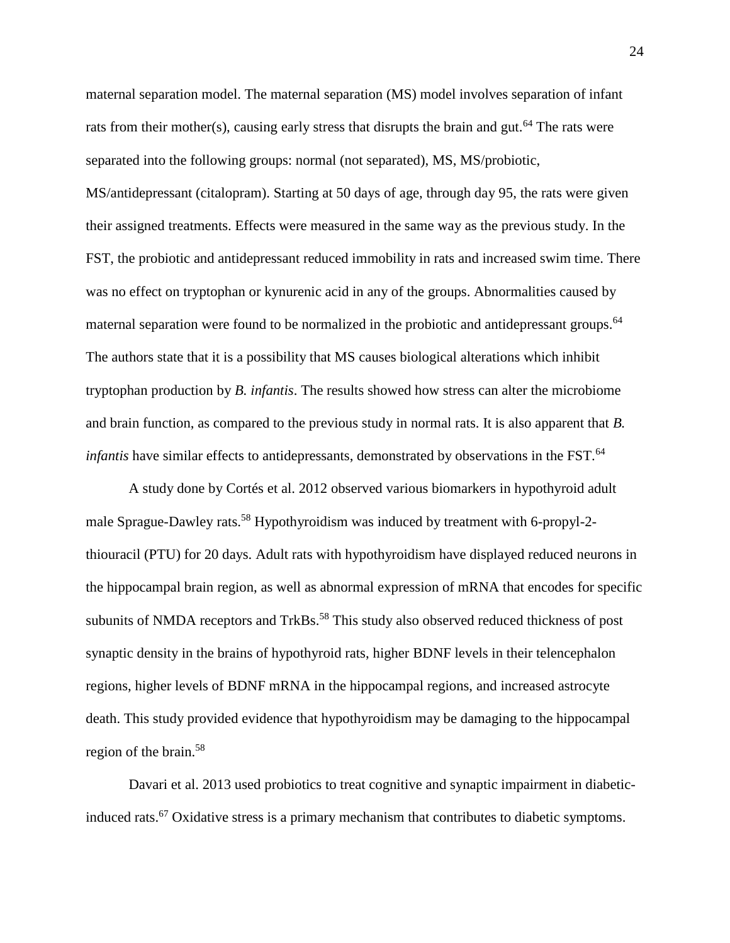maternal separation model. The maternal separation (MS) model involves separation of infant rats from their mother(s), causing early stress that disrupts the brain and gut.<sup>64</sup> The rats were separated into the following groups: normal (not separated), MS, MS/probiotic, MS/antidepressant (citalopram). Starting at 50 days of age, through day 95, the rats were given their assigned treatments. Effects were measured in the same way as the previous study. In the FST, the probiotic and antidepressant reduced immobility in rats and increased swim time. There was no effect on tryptophan or kynurenic acid in any of the groups. Abnormalities caused by maternal separation were found to be normalized in the probiotic and antidepressant groups.<sup>64</sup> The authors state that it is a possibility that MS causes biological alterations which inhibit tryptophan production by *B. infantis*. The results showed how stress can alter the microbiome and brain function, as compared to the previous study in normal rats. It is also apparent that *B. infantis* have similar effects to antidepressants, demonstrated by observations in the FST.<sup>64</sup>

A study done by Cortés et al. 2012 observed various biomarkers in hypothyroid adult male Sprague-Dawley rats.<sup>58</sup> Hypothyroidism was induced by treatment with 6-propyl-2thiouracil (PTU) for 20 days. Adult rats with hypothyroidism have displayed reduced neurons in the hippocampal brain region, as well as abnormal expression of mRNA that encodes for specific subunits of NMDA receptors and TrkBs.<sup>58</sup> This study also observed reduced thickness of post synaptic density in the brains of hypothyroid rats, higher BDNF levels in their telencephalon regions, higher levels of BDNF mRNA in the hippocampal regions, and increased astrocyte death. This study provided evidence that hypothyroidism may be damaging to the hippocampal region of the brain.<sup>58</sup>

Davari et al. 2013 used probiotics to treat cognitive and synaptic impairment in diabeticinduced rats.<sup>67</sup> Oxidative stress is a primary mechanism that contributes to diabetic symptoms.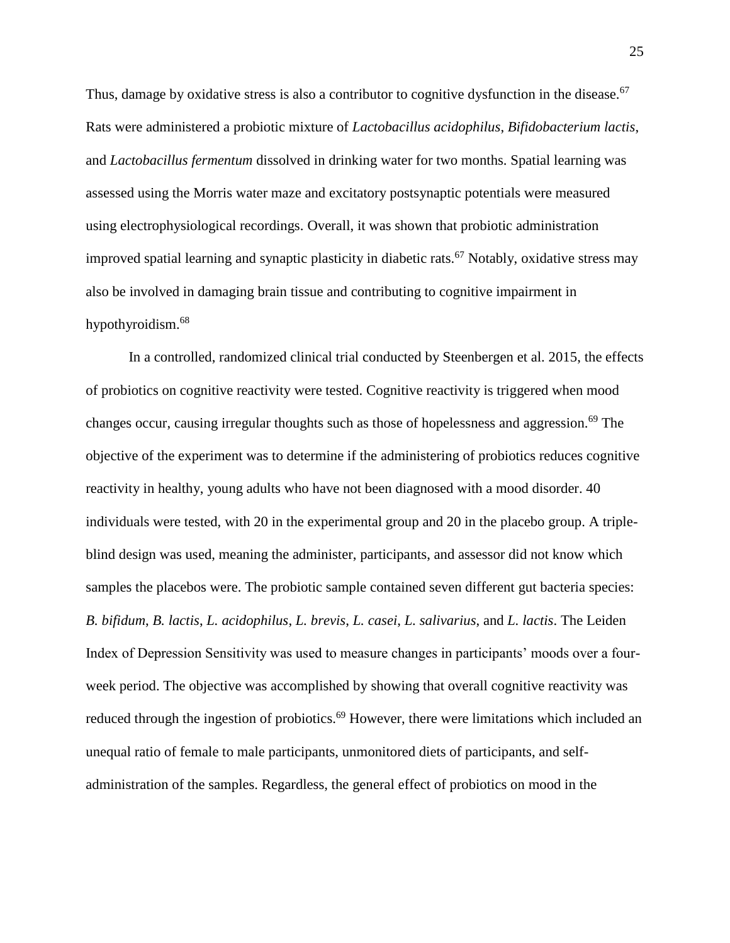Thus, damage by oxidative stress is also a contributor to cognitive dysfunction in the disease.<sup>67</sup> Rats were administered a probiotic mixture of *Lactobacillus acidophilus*, *Bifidobacterium lactis*, and *Lactobacillus fermentum* dissolved in drinking water for two months. Spatial learning was assessed using the Morris water maze and excitatory postsynaptic potentials were measured using electrophysiological recordings. Overall, it was shown that probiotic administration improved spatial learning and synaptic plasticity in diabetic rats.<sup>67</sup> Notably, oxidative stress may also be involved in damaging brain tissue and contributing to cognitive impairment in hypothyroidism.<sup>68</sup>

In a controlled, randomized clinical trial conducted by Steenbergen et al. 2015, the effects of probiotics on cognitive reactivity were tested. Cognitive reactivity is triggered when mood changes occur, causing irregular thoughts such as those of hopelessness and aggression.<sup>69</sup> The objective of the experiment was to determine if the administering of probiotics reduces cognitive reactivity in healthy, young adults who have not been diagnosed with a mood disorder. 40 individuals were tested, with 20 in the experimental group and 20 in the placebo group. A tripleblind design was used, meaning the administer, participants, and assessor did not know which samples the placebos were. The probiotic sample contained seven different gut bacteria species: *B. bifidum*, *B. lactis*, *L. acidophilus*, *L. brevis*, *L. casei*, *L. salivarius*, and *L. lactis*. The Leiden Index of Depression Sensitivity was used to measure changes in participants' moods over a fourweek period. The objective was accomplished by showing that overall cognitive reactivity was reduced through the ingestion of probiotics.<sup>69</sup> However, there were limitations which included an unequal ratio of female to male participants, unmonitored diets of participants, and selfadministration of the samples. Regardless, the general effect of probiotics on mood in the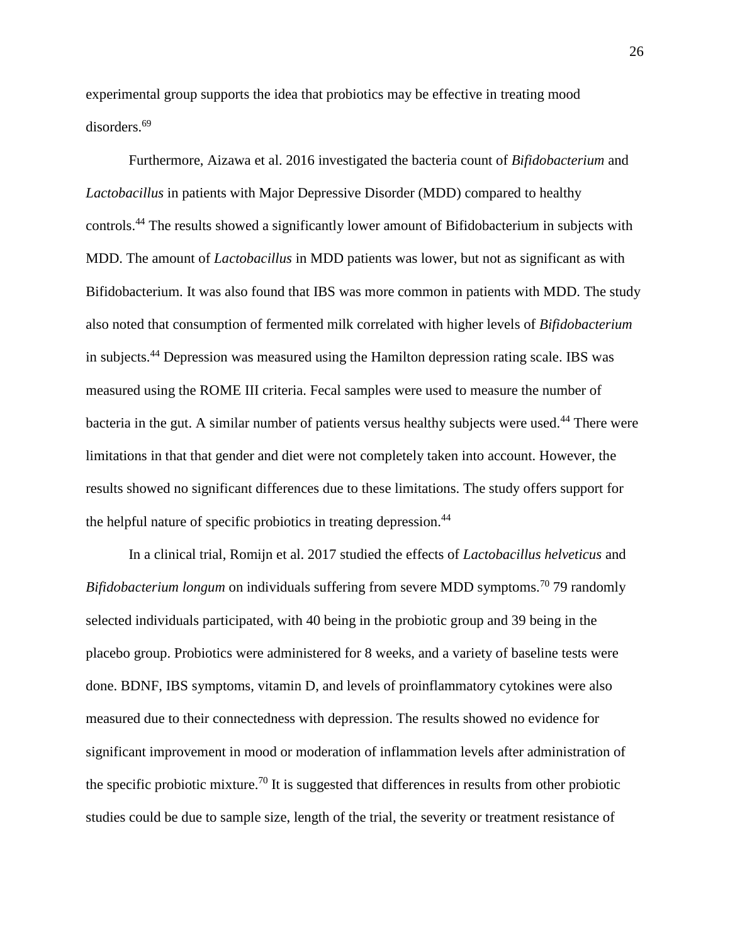experimental group supports the idea that probiotics may be effective in treating mood disorders.<sup>69</sup>

Furthermore, Aizawa et al. 2016 investigated the bacteria count of *Bifidobacterium* and *Lactobacillus* in patients with Major Depressive Disorder (MDD) compared to healthy controls.<sup>44</sup> The results showed a significantly lower amount of Bifidobacterium in subjects with MDD. The amount of *Lactobacillus* in MDD patients was lower, but not as significant as with Bifidobacterium. It was also found that IBS was more common in patients with MDD. The study also noted that consumption of fermented milk correlated with higher levels of *Bifidobacterium* in subjects.<sup>44</sup> Depression was measured using the Hamilton depression rating scale. IBS was measured using the ROME III criteria. Fecal samples were used to measure the number of bacteria in the gut. A similar number of patients versus healthy subjects were used.<sup>44</sup> There were limitations in that that gender and diet were not completely taken into account. However, the results showed no significant differences due to these limitations. The study offers support for the helpful nature of specific probiotics in treating depression. 44

In a clinical trial, Romijn et al. 2017 studied the effects of *Lactobacillus helveticus* and *Bifidobacterium longum* on individuals suffering from severe MDD symptoms.<sup>70</sup> 79 randomly selected individuals participated, with 40 being in the probiotic group and 39 being in the placebo group. Probiotics were administered for 8 weeks, and a variety of baseline tests were done. BDNF, IBS symptoms, vitamin D, and levels of proinflammatory cytokines were also measured due to their connectedness with depression. The results showed no evidence for significant improvement in mood or moderation of inflammation levels after administration of the specific probiotic mixture.<sup>70</sup> It is suggested that differences in results from other probiotic studies could be due to sample size, length of the trial, the severity or treatment resistance of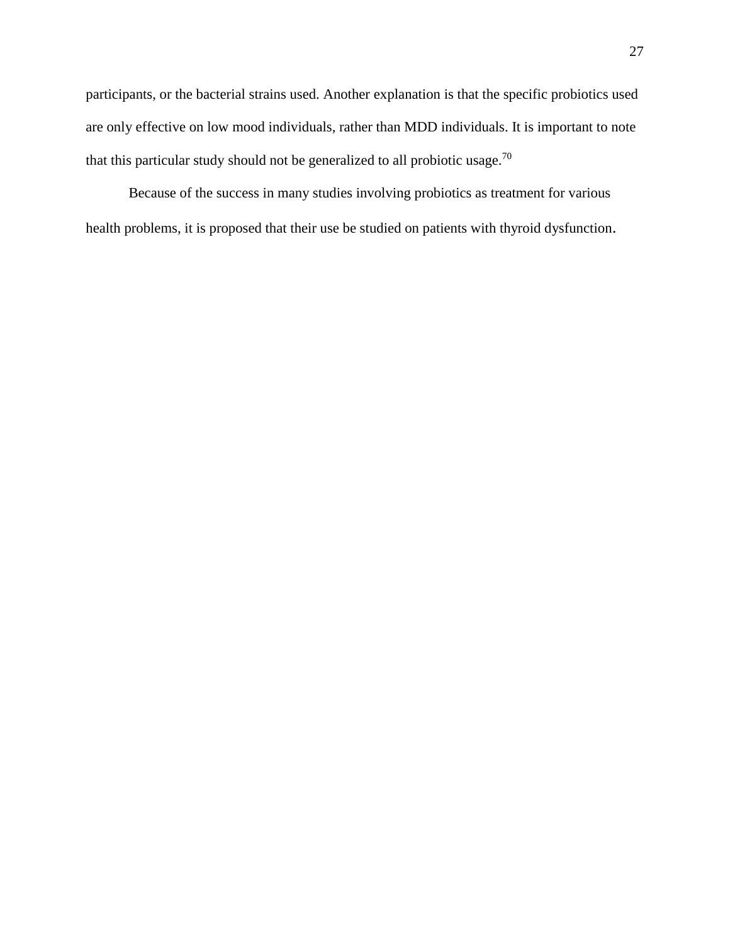participants, or the bacterial strains used. Another explanation is that the specific probiotics used are only effective on low mood individuals, rather than MDD individuals. It is important to note that this particular study should not be generalized to all probiotic usage.<sup>70</sup>

Because of the success in many studies involving probiotics as treatment for various health problems, it is proposed that their use be studied on patients with thyroid dysfunction.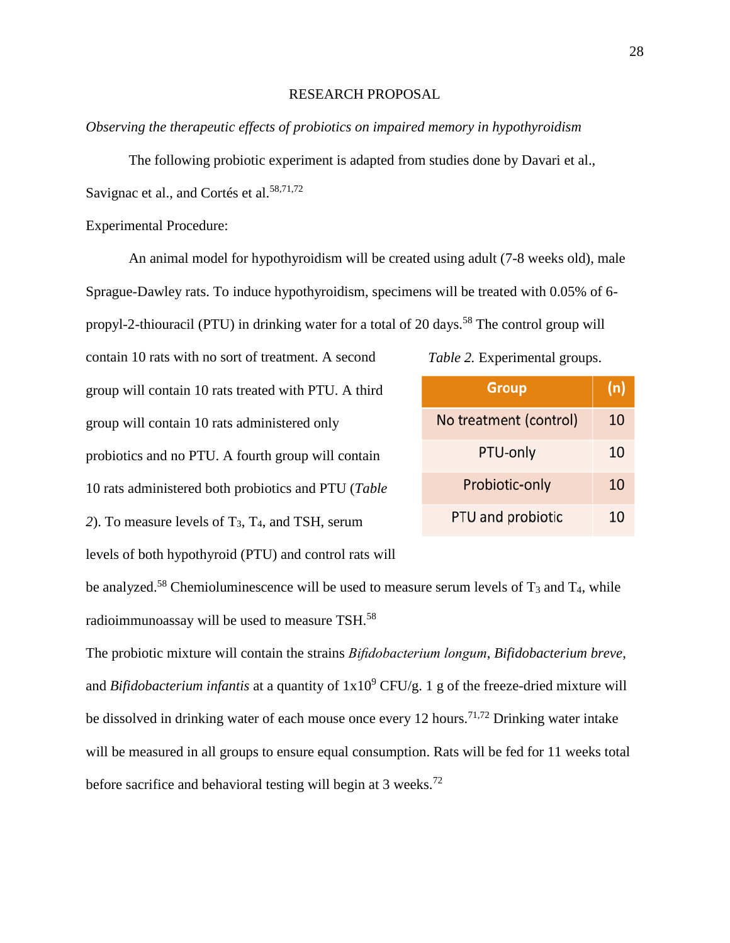# RESEARCH PROPOSAL

*Observing the therapeutic effects of probiotics on impaired memory in hypothyroidism*

The following probiotic experiment is adapted from studies done by Davari et al., Savignac et al., and Cortés et al.<sup>58,71,72</sup>

Experimental Procedure:

An animal model for hypothyroidism will be created using adult (7-8 weeks old), male Sprague-Dawley rats. To induce hypothyroidism, specimens will be treated with 0.05% of 6 propyl-2-thiouracil (PTU) in drinking water for a total of 20 days.<sup>58</sup> The control group will

contain 10 rats with no sort of treatment. A second group will contain 10 rats treated with PTU. A third group will contain 10 rats administered only probiotics and no PTU. A fourth group will contain 10 rats administered both probiotics and PTU (*Table 2*). To measure levels of T3, T4, and TSH, serum levels of both hypothyroid (PTU) and control rats will

| Table 2. Experimental groups. |  |
|-------------------------------|--|
|-------------------------------|--|

| <b>Group</b>           | (n) |
|------------------------|-----|
| No treatment (control) | 10  |
| PTU-only               | 10  |
| Probiotic-only         | 10  |
| PTU and probiotic      | 10  |

be analyzed.<sup>58</sup> Chemioluminescence will be used to measure serum levels of  $T_3$  and  $T_4$ , while radioimmunoassay will be used to measure TSH. $^{58}$ 

The probiotic mixture will contain the strains *Bifidobacterium longum*, *Bifidobacterium breve*, and *Bifidobacterium infantis* at a quantity of  $1x10^9$  CFU/g. 1 g of the freeze-dried mixture will be dissolved in drinking water of each mouse once every 12 hours.<sup>71,72</sup> Drinking water intake will be measured in all groups to ensure equal consumption. Rats will be fed for 11 weeks total before sacrifice and behavioral testing will begin at 3 weeks.<sup>72</sup>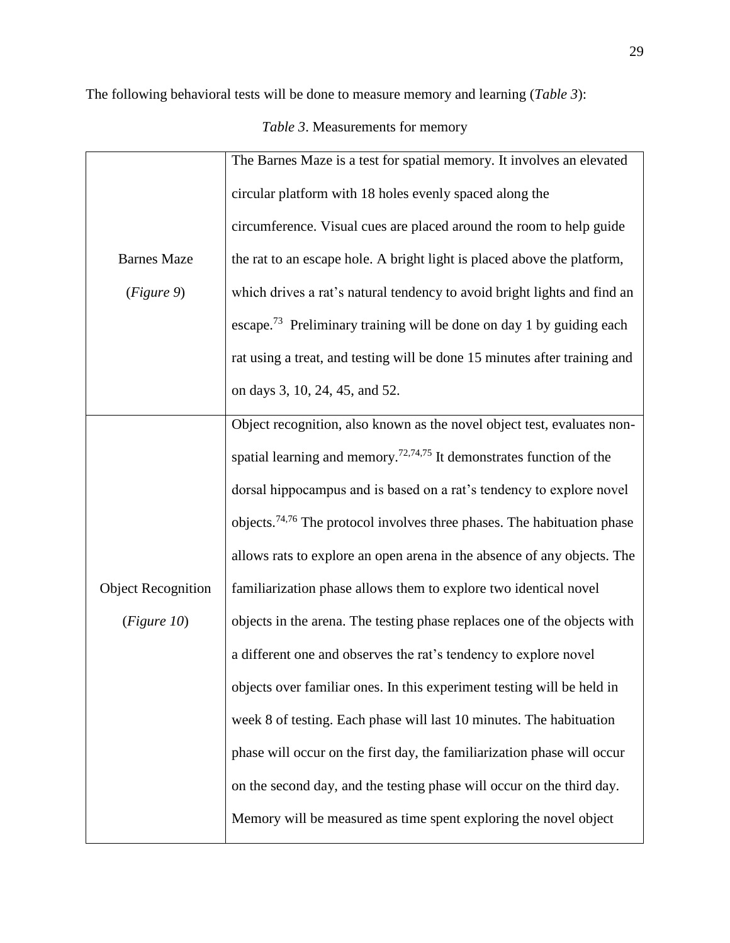The following behavioral tests will be done to measure memory and learning (*Table 3*):

*Table 3*. Measurements for memory

|                           | The Barnes Maze is a test for spatial memory. It involves an elevated               |
|---------------------------|-------------------------------------------------------------------------------------|
|                           | circular platform with 18 holes evenly spaced along the                             |
|                           | circumference. Visual cues are placed around the room to help guide                 |
| <b>Barnes Maze</b>        | the rat to an escape hole. A bright light is placed above the platform,             |
| (Figure 9)                | which drives a rat's natural tendency to avoid bright lights and find an            |
|                           | escape. <sup>73</sup> Preliminary training will be done on day 1 by guiding each    |
|                           | rat using a treat, and testing will be done 15 minutes after training and           |
|                           | on days 3, 10, 24, 45, and 52.                                                      |
|                           | Object recognition, also known as the novel object test, evaluates non-             |
|                           | spatial learning and memory. <sup>72,74,75</sup> It demonstrates function of the    |
|                           | dorsal hippocampus and is based on a rat's tendency to explore novel                |
|                           | objects. <sup>74,76</sup> The protocol involves three phases. The habituation phase |
|                           | allows rats to explore an open arena in the absence of any objects. The             |
| <b>Object Recognition</b> | familiarization phase allows them to explore two identical novel                    |
| (Figure 10)               | objects in the arena. The testing phase replaces one of the objects with            |
|                           | a different one and observes the rat's tendency to explore novel                    |
|                           | objects over familiar ones. In this experiment testing will be held in              |
|                           | week 8 of testing. Each phase will last 10 minutes. The habituation                 |
|                           | phase will occur on the first day, the familiarization phase will occur             |
|                           | on the second day, and the testing phase will occur on the third day.               |
|                           | Memory will be measured as time spent exploring the novel object                    |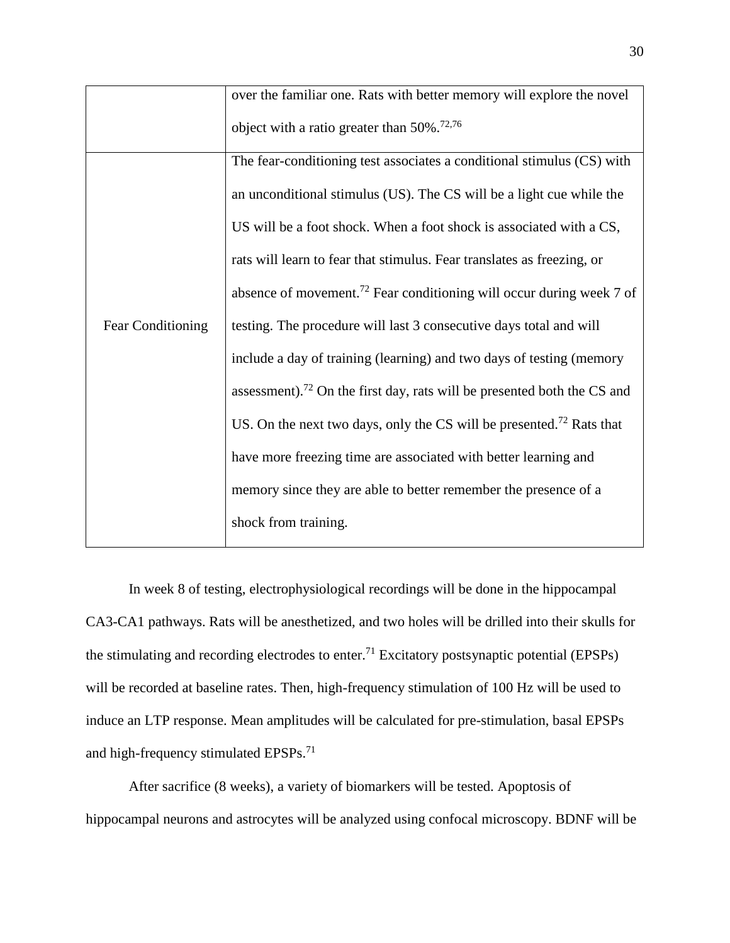|                          | over the familiar one. Rats with better memory will explore the novel               |
|--------------------------|-------------------------------------------------------------------------------------|
|                          | object with a ratio greater than $50\%$ . <sup>72,76</sup>                          |
|                          | The fear-conditioning test associates a conditional stimulus (CS) with              |
|                          | an unconditional stimulus (US). The CS will be a light cue while the                |
|                          | US will be a foot shock. When a foot shock is associated with a CS,                 |
|                          | rats will learn to fear that stimulus. Fear translates as freezing, or              |
|                          | absence of movement. <sup>72</sup> Fear conditioning will occur during week 7 of    |
| <b>Fear Conditioning</b> | testing. The procedure will last 3 consecutive days total and will                  |
|                          | include a day of training (learning) and two days of testing (memory                |
|                          | assessment). <sup>72</sup> On the first day, rats will be presented both the CS and |
|                          | US. On the next two days, only the CS will be presented. <sup>72</sup> Rats that    |
|                          | have more freezing time are associated with better learning and                     |
|                          | memory since they are able to better remember the presence of a                     |
|                          | shock from training.                                                                |
|                          |                                                                                     |

In week 8 of testing, electrophysiological recordings will be done in the hippocampal CA3-CA1 pathways. Rats will be anesthetized, and two holes will be drilled into their skulls for the stimulating and recording electrodes to enter.<sup>71</sup> Excitatory postsynaptic potential (EPSPs) will be recorded at baseline rates. Then, high-frequency stimulation of 100 Hz will be used to induce an LTP response. Mean amplitudes will be calculated for pre-stimulation, basal EPSPs and high-frequency stimulated EPSPs.<sup>71</sup>

After sacrifice (8 weeks), a variety of biomarkers will be tested. Apoptosis of hippocampal neurons and astrocytes will be analyzed using confocal microscopy. BDNF will be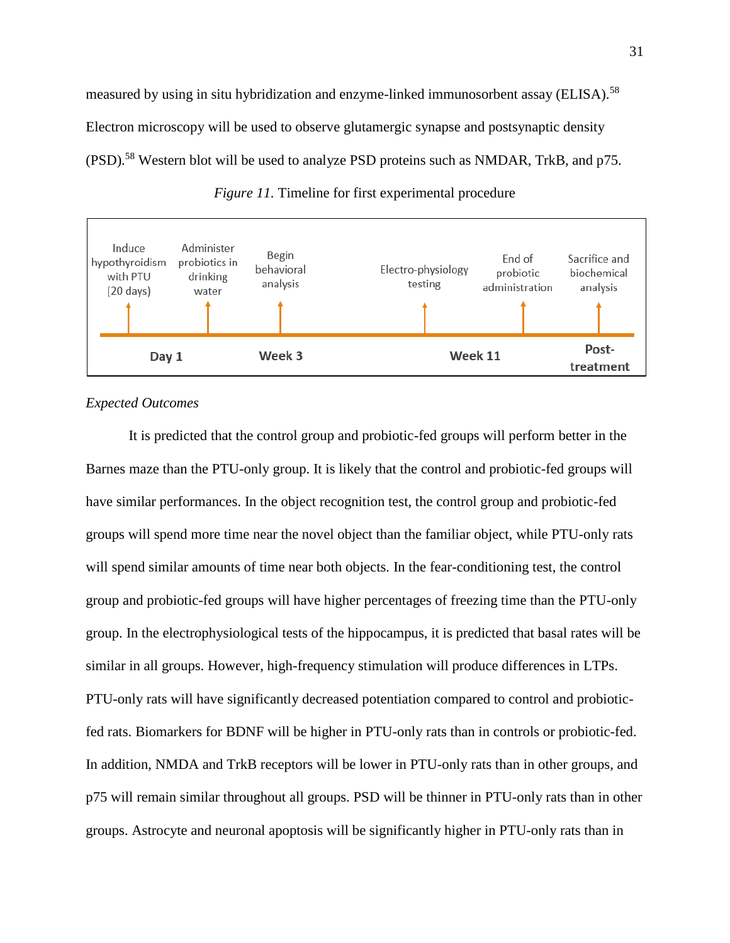measured by using in situ hybridization and enzyme-linked immunosorbent assay (ELISA).<sup>58</sup> Electron microscopy will be used to observe glutamergic synapse and postsynaptic density (PSD).<sup>58</sup> Western blot will be used to analyze PSD proteins such as NMDAR, TrkB, and p75.



Week 3



# *Expected Outcomes*

Day 1

It is predicted that the control group and probiotic-fed groups will perform better in the Barnes maze than the PTU-only group. It is likely that the control and probiotic-fed groups will have similar performances. In the object recognition test, the control group and probiotic-fed groups will spend more time near the novel object than the familiar object, while PTU-only rats will spend similar amounts of time near both objects. In the fear-conditioning test, the control group and probiotic-fed groups will have higher percentages of freezing time than the PTU-only group. In the electrophysiological tests of the hippocampus, it is predicted that basal rates will be similar in all groups. However, high-frequency stimulation will produce differences in LTPs. PTU-only rats will have significantly decreased potentiation compared to control and probioticfed rats. Biomarkers for BDNF will be higher in PTU-only rats than in controls or probiotic-fed. In addition, NMDA and TrkB receptors will be lower in PTU-only rats than in other groups, and p75 will remain similar throughout all groups. PSD will be thinner in PTU-only rats than in other groups. Astrocyte and neuronal apoptosis will be significantly higher in PTU-only rats than in

Post-

treatment

Week 11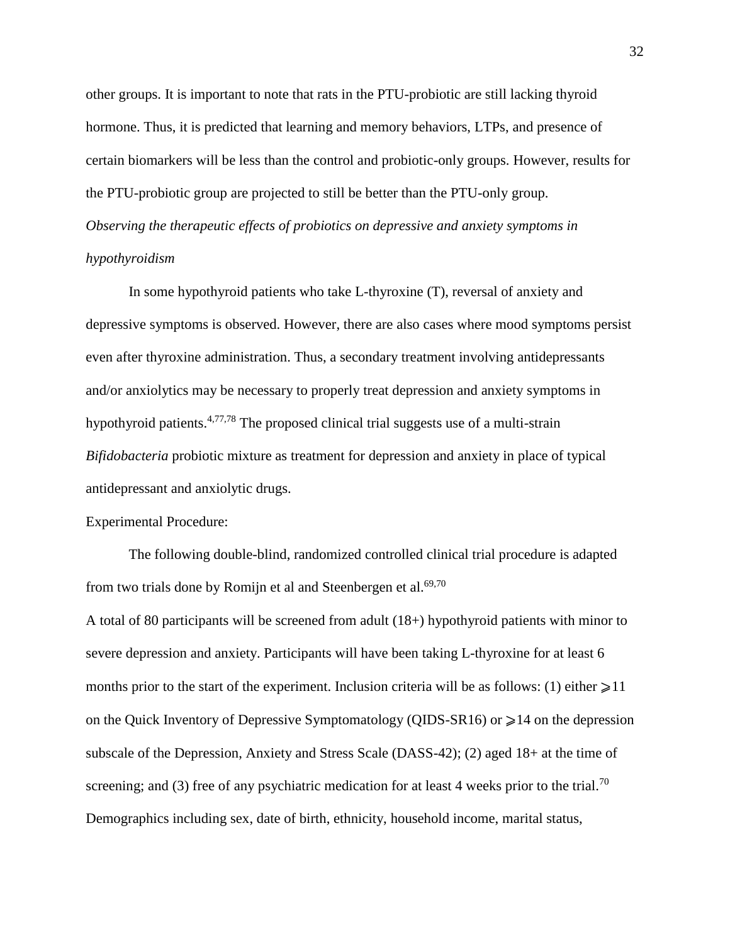other groups. It is important to note that rats in the PTU-probiotic are still lacking thyroid hormone. Thus, it is predicted that learning and memory behaviors, LTPs, and presence of certain biomarkers will be less than the control and probiotic-only groups. However, results for the PTU-probiotic group are projected to still be better than the PTU-only group. *Observing the therapeutic effects of probiotics on depressive and anxiety symptoms in hypothyroidism*

In some hypothyroid patients who take L-thyroxine (T), reversal of anxiety and depressive symptoms is observed. However, there are also cases where mood symptoms persist even after thyroxine administration. Thus, a secondary treatment involving antidepressants and/or anxiolytics may be necessary to properly treat depression and anxiety symptoms in hypothyroid patients.  $4,77,78$  The proposed clinical trial suggests use of a multi-strain *Bifidobacteria* probiotic mixture as treatment for depression and anxiety in place of typical antidepressant and anxiolytic drugs.

Experimental Procedure:

The following double-blind, randomized controlled clinical trial procedure is adapted from two trials done by Romijn et al and Steenbergen et al.<sup>69,70</sup>

A total of 80 participants will be screened from adult (18+) hypothyroid patients with minor to severe depression and anxiety. Participants will have been taking L-thyroxine for at least 6 months prior to the start of the experiment. Inclusion criteria will be as follows: (1) either  $\geq 11$ on the Quick Inventory of Depressive Symptomatology (QIDS-SR16) or  $\geq 14$  on the depression subscale of the Depression, Anxiety and Stress Scale (DASS-42); (2) aged 18+ at the time of screening; and (3) free of any psychiatric medication for at least 4 weeks prior to the trial.<sup>70</sup> Demographics including sex, date of birth, ethnicity, household income, marital status,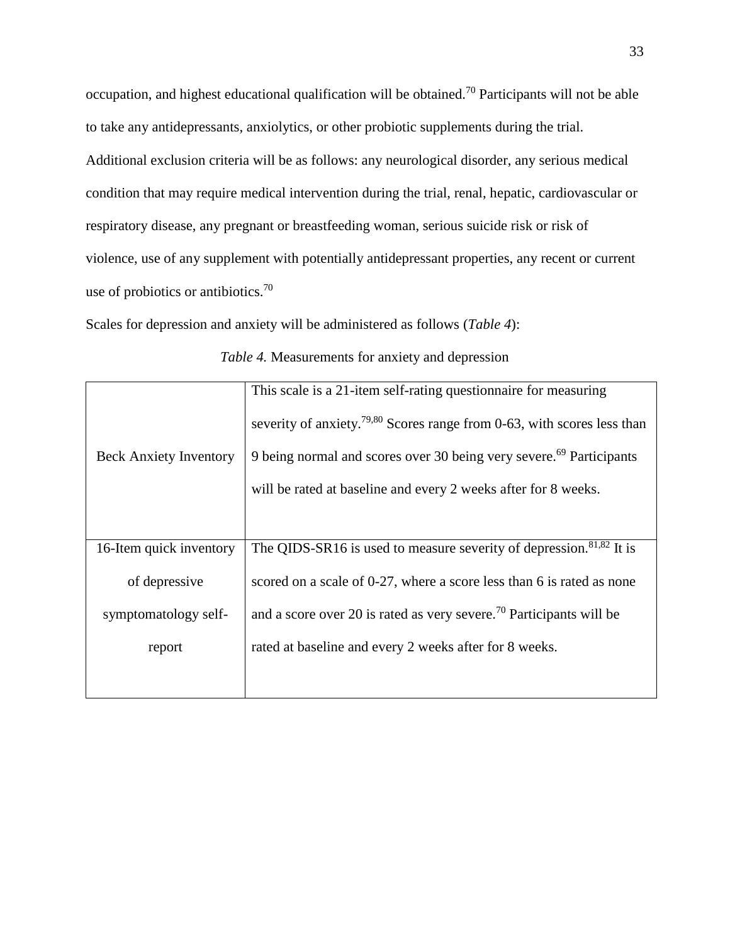occupation, and highest educational qualification will be obtained.<sup>70</sup> Participants will not be able to take any antidepressants, anxiolytics, or other probiotic supplements during the trial. Additional exclusion criteria will be as follows: any neurological disorder, any serious medical condition that may require medical intervention during the trial, renal, hepatic, cardiovascular or respiratory disease, any pregnant or breastfeeding woman, serious suicide risk or risk of violence, use of any supplement with potentially antidepressant properties, any recent or current use of probiotics or antibiotics.<sup>70</sup>

Scales for depression and anxiety will be administered as follows (*Table 4*):

|                               | This scale is a 21-item self-rating questionnaire for measuring                     |
|-------------------------------|-------------------------------------------------------------------------------------|
|                               | severity of anxiety. <sup>79,80</sup> Scores range from 0-63, with scores less than |
| <b>Beck Anxiety Inventory</b> | 9 being normal and scores over 30 being very severe. <sup>69</sup> Participants     |
|                               | will be rated at baseline and every 2 weeks after for 8 weeks.                      |
|                               |                                                                                     |
| 16-Item quick inventory       | The QIDS-SR16 is used to measure severity of depression. $81,82$ It is              |
| of depressive                 | scored on a scale of 0-27, where a score less than 6 is rated as none               |
| symptomatology self-          | and a score over 20 is rated as very severe. <sup>70</sup> Participants will be     |
| report                        | rated at baseline and every 2 weeks after for 8 weeks.                              |
|                               |                                                                                     |

*Table 4.* Measurements for anxiety and depression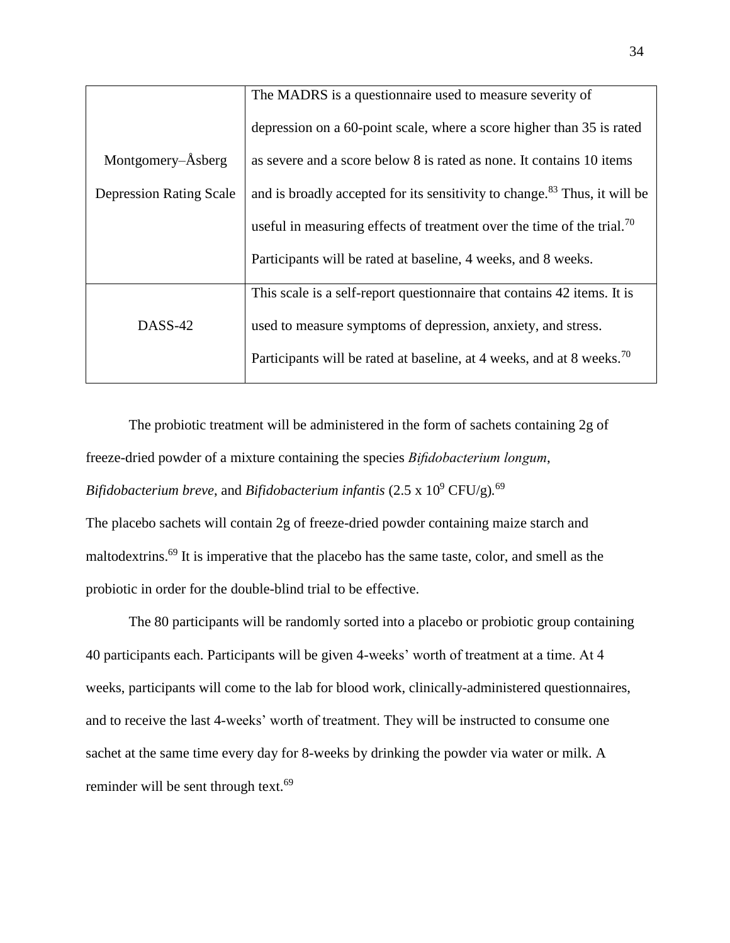|                                | The MADRS is a questionnaire used to measure severity of                              |
|--------------------------------|---------------------------------------------------------------------------------------|
|                                | depression on a 60-point scale, where a score higher than 35 is rated                 |
| Montgomery–Åsberg              | as severe and a score below 8 is rated as none. It contains 10 items                  |
| <b>Depression Rating Scale</b> | and is broadly accepted for its sensitivity to change. <sup>83</sup> Thus, it will be |
|                                | useful in measuring effects of treatment over the time of the trial. <sup>70</sup>    |
|                                | Participants will be rated at baseline, 4 weeks, and 8 weeks.                         |
|                                | This scale is a self-report questionnaire that contains 42 items. It is               |
| DASS-42                        | used to measure symptoms of depression, anxiety, and stress.                          |
|                                | Participants will be rated at baseline, at 4 weeks, and at 8 weeks. <sup>70</sup>     |

The probiotic treatment will be administered in the form of sachets containing 2g of freeze-dried powder of a mixture containing the species *Bifidobacterium longum*, *Bifidobacterium breve*, and *Bifidobacterium infantis* (2.5 x 10<sup>9</sup> CFU/g)*.* 69

The placebo sachets will contain 2g of freeze-dried powder containing maize starch and maltodextrins.<sup>69</sup> It is imperative that the placebo has the same taste, color, and smell as the probiotic in order for the double-blind trial to be effective.

The 80 participants will be randomly sorted into a placebo or probiotic group containing 40 participants each. Participants will be given 4-weeks' worth of treatment at a time. At 4 weeks, participants will come to the lab for blood work, clinically-administered questionnaires, and to receive the last 4-weeks' worth of treatment. They will be instructed to consume one sachet at the same time every day for 8-weeks by drinking the powder via water or milk. A reminder will be sent through text.<sup>69</sup>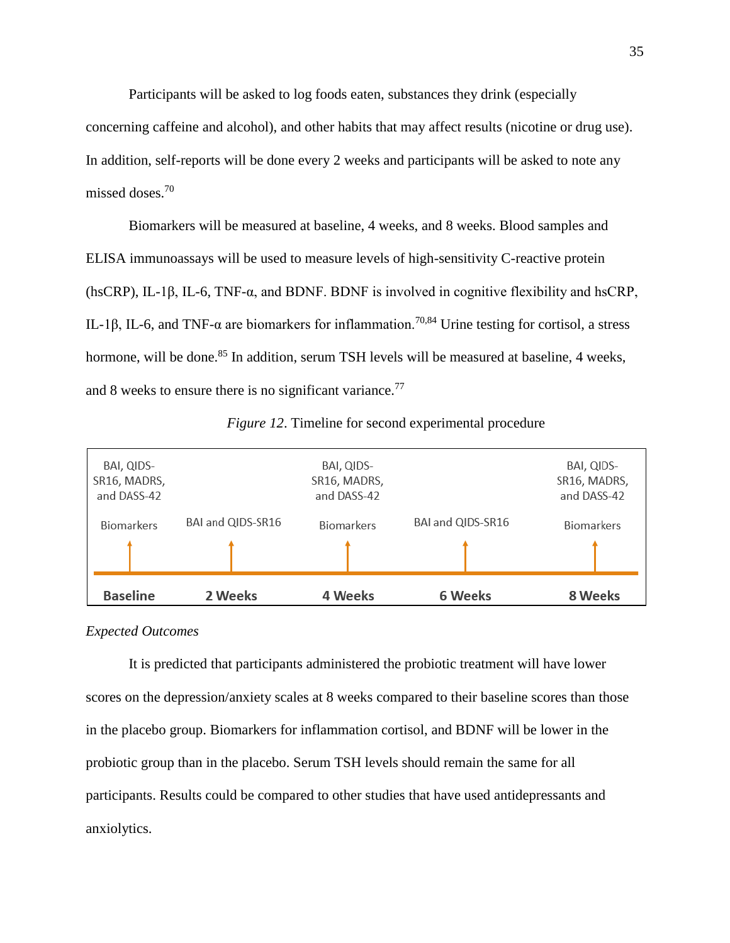Participants will be asked to log foods eaten, substances they drink (especially concerning caffeine and alcohol), and other habits that may affect results (nicotine or drug use). In addition, self-reports will be done every 2 weeks and participants will be asked to note any missed doses<sup>70</sup>

Biomarkers will be measured at baseline, 4 weeks, and 8 weeks. Blood samples and ELISA immunoassays will be used to measure levels of high-sensitivity C-reactive protein (hsCRP), IL-1 $\beta$ , IL-6, TNF- $\alpha$ , and BDNF. BDNF is involved in cognitive flexibility and hsCRP, IL-1β, IL-6, and TNF-α are biomarkers for inflammation.<sup>70,84</sup> Urine testing for cortisol, a stress hormone, will be done.<sup>85</sup> In addition, serum TSH levels will be measured at baseline, 4 weeks, and 8 weeks to ensure there is no significant variance.<sup>77</sup>



*Figure 12*. Timeline for second experimental procedure

# *Expected Outcomes*

It is predicted that participants administered the probiotic treatment will have lower scores on the depression/anxiety scales at 8 weeks compared to their baseline scores than those in the placebo group. Biomarkers for inflammation cortisol, and BDNF will be lower in the probiotic group than in the placebo. Serum TSH levels should remain the same for all participants. Results could be compared to other studies that have used antidepressants and anxiolytics.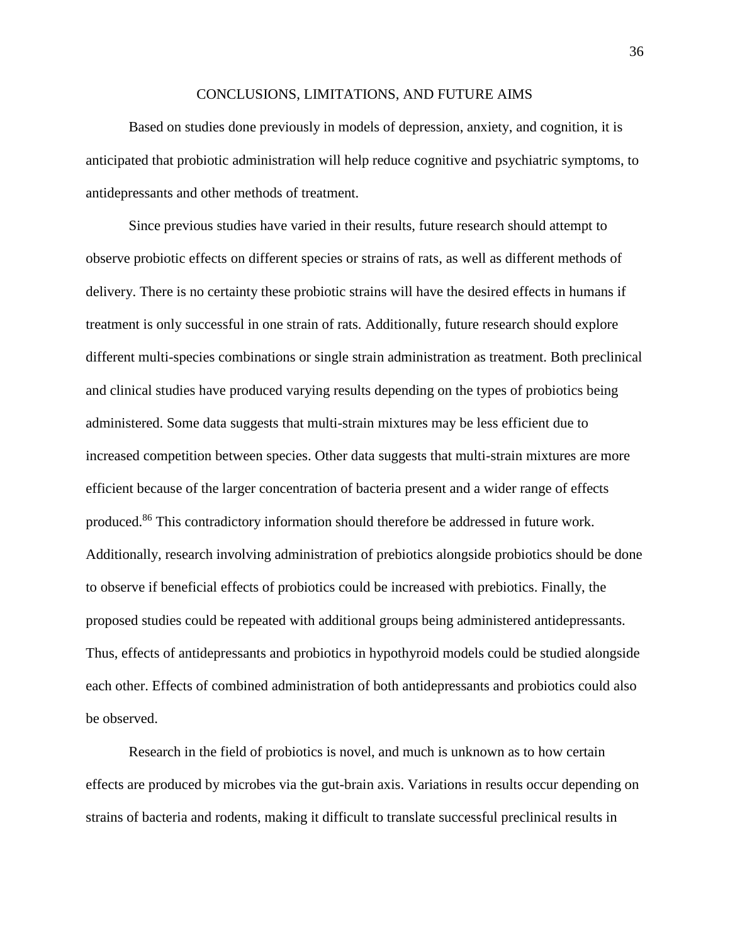# CONCLUSIONS, LIMITATIONS, AND FUTURE AIMS

Based on studies done previously in models of depression, anxiety, and cognition, it is anticipated that probiotic administration will help reduce cognitive and psychiatric symptoms, to antidepressants and other methods of treatment.

Since previous studies have varied in their results, future research should attempt to observe probiotic effects on different species or strains of rats, as well as different methods of delivery. There is no certainty these probiotic strains will have the desired effects in humans if treatment is only successful in one strain of rats. Additionally, future research should explore different multi-species combinations or single strain administration as treatment. Both preclinical and clinical studies have produced varying results depending on the types of probiotics being administered. Some data suggests that multi-strain mixtures may be less efficient due to increased competition between species. Other data suggests that multi-strain mixtures are more efficient because of the larger concentration of bacteria present and a wider range of effects produced.<sup>86</sup> This contradictory information should therefore be addressed in future work. Additionally, research involving administration of prebiotics alongside probiotics should be done to observe if beneficial effects of probiotics could be increased with prebiotics. Finally, the proposed studies could be repeated with additional groups being administered antidepressants. Thus, effects of antidepressants and probiotics in hypothyroid models could be studied alongside each other. Effects of combined administration of both antidepressants and probiotics could also be observed.

Research in the field of probiotics is novel, and much is unknown as to how certain effects are produced by microbes via the gut-brain axis. Variations in results occur depending on strains of bacteria and rodents, making it difficult to translate successful preclinical results in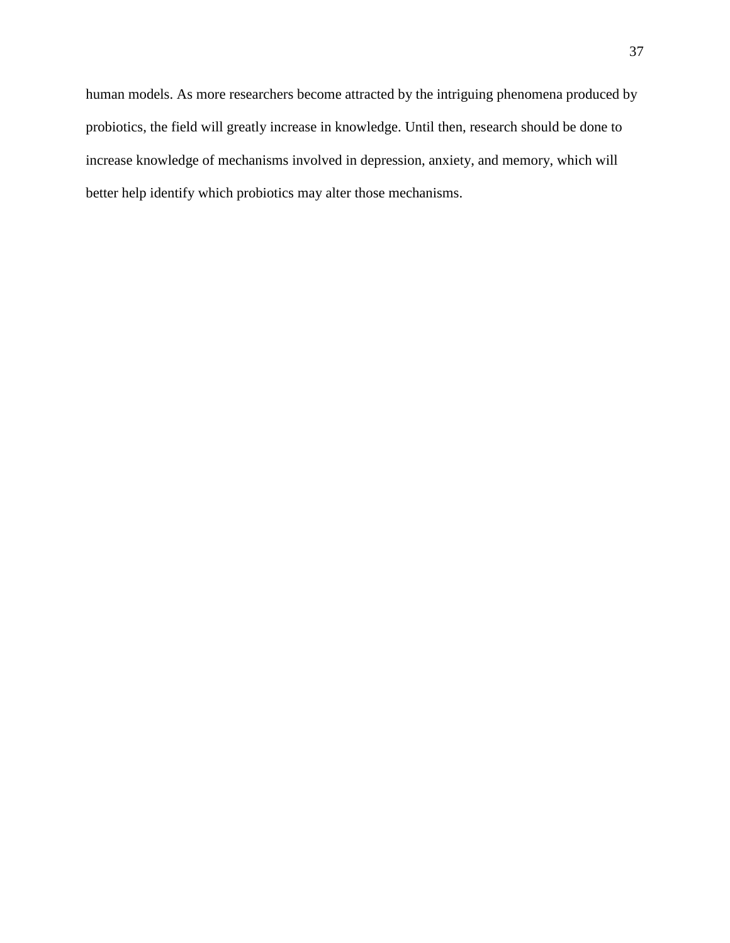human models. As more researchers become attracted by the intriguing phenomena produced by probiotics, the field will greatly increase in knowledge. Until then, research should be done to increase knowledge of mechanisms involved in depression, anxiety, and memory, which will better help identify which probiotics may alter those mechanisms.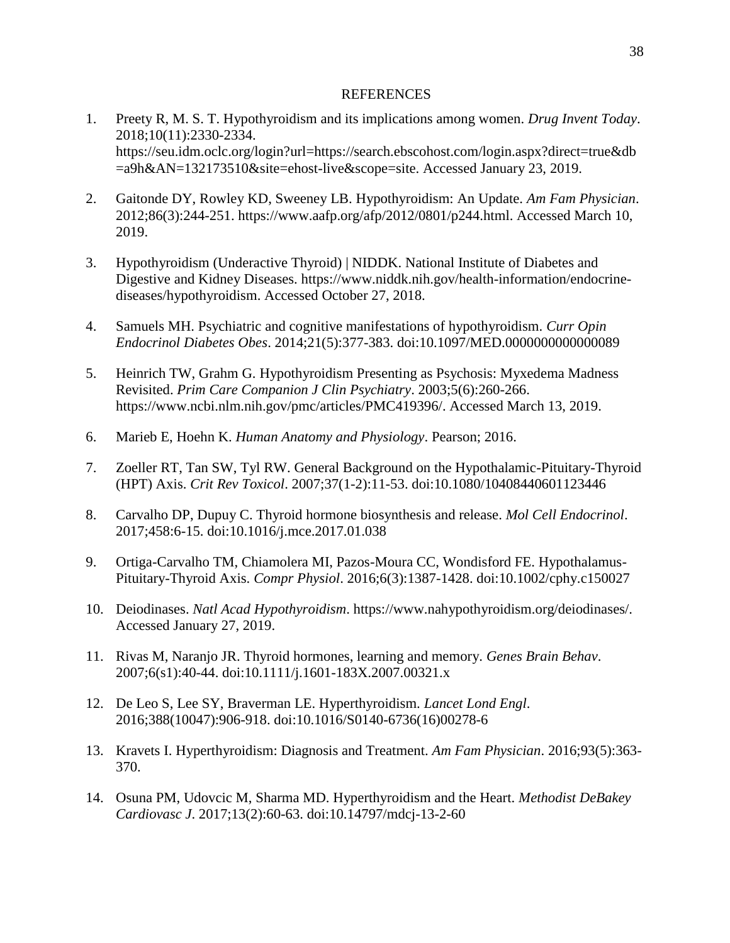# REFERENCES

- 1. Preety R, M. S. T. Hypothyroidism and its implications among women. *Drug Invent Today*. 2018;10(11):2330-2334. https://seu.idm.oclc.org/login?url=https://search.ebscohost.com/login.aspx?direct=true&db =a9h&AN=132173510&site=ehost-live&scope=site. Accessed January 23, 2019.
- 2. Gaitonde DY, Rowley KD, Sweeney LB. Hypothyroidism: An Update. *Am Fam Physician*. 2012;86(3):244-251. https://www.aafp.org/afp/2012/0801/p244.html. Accessed March 10, 2019.
- 3. Hypothyroidism (Underactive Thyroid) | NIDDK. National Institute of Diabetes and Digestive and Kidney Diseases. https://www.niddk.nih.gov/health-information/endocrinediseases/hypothyroidism. Accessed October 27, 2018.
- 4. Samuels MH. Psychiatric and cognitive manifestations of hypothyroidism. *Curr Opin Endocrinol Diabetes Obes*. 2014;21(5):377-383. doi:10.1097/MED.0000000000000089
- 5. Heinrich TW, Grahm G. Hypothyroidism Presenting as Psychosis: Myxedema Madness Revisited. *Prim Care Companion J Clin Psychiatry*. 2003;5(6):260-266. https://www.ncbi.nlm.nih.gov/pmc/articles/PMC419396/. Accessed March 13, 2019.
- 6. Marieb E, Hoehn K. *Human Anatomy and Physiology*. Pearson; 2016.
- 7. Zoeller RT, Tan SW, Tyl RW. General Background on the Hypothalamic-Pituitary-Thyroid (HPT) Axis. *Crit Rev Toxicol*. 2007;37(1-2):11-53. doi:10.1080/10408440601123446
- 8. Carvalho DP, Dupuy C. Thyroid hormone biosynthesis and release. *Mol Cell Endocrinol*. 2017;458:6-15. doi:10.1016/j.mce.2017.01.038
- 9. Ortiga-Carvalho TM, Chiamolera MI, Pazos-Moura CC, Wondisford FE. Hypothalamus-Pituitary-Thyroid Axis. *Compr Physiol*. 2016;6(3):1387-1428. doi:10.1002/cphy.c150027
- 10. Deiodinases. *Natl Acad Hypothyroidism*. https://www.nahypothyroidism.org/deiodinases/. Accessed January 27, 2019.
- 11. Rivas M, Naranjo JR. Thyroid hormones, learning and memory. *Genes Brain Behav*. 2007;6(s1):40-44. doi:10.1111/j.1601-183X.2007.00321.x
- 12. De Leo S, Lee SY, Braverman LE. Hyperthyroidism. *Lancet Lond Engl*. 2016;388(10047):906-918. doi:10.1016/S0140-6736(16)00278-6
- 13. Kravets I. Hyperthyroidism: Diagnosis and Treatment. *Am Fam Physician*. 2016;93(5):363- 370.
- 14. Osuna PM, Udovcic M, Sharma MD. Hyperthyroidism and the Heart. *Methodist DeBakey Cardiovasc J*. 2017;13(2):60-63. doi:10.14797/mdcj-13-2-60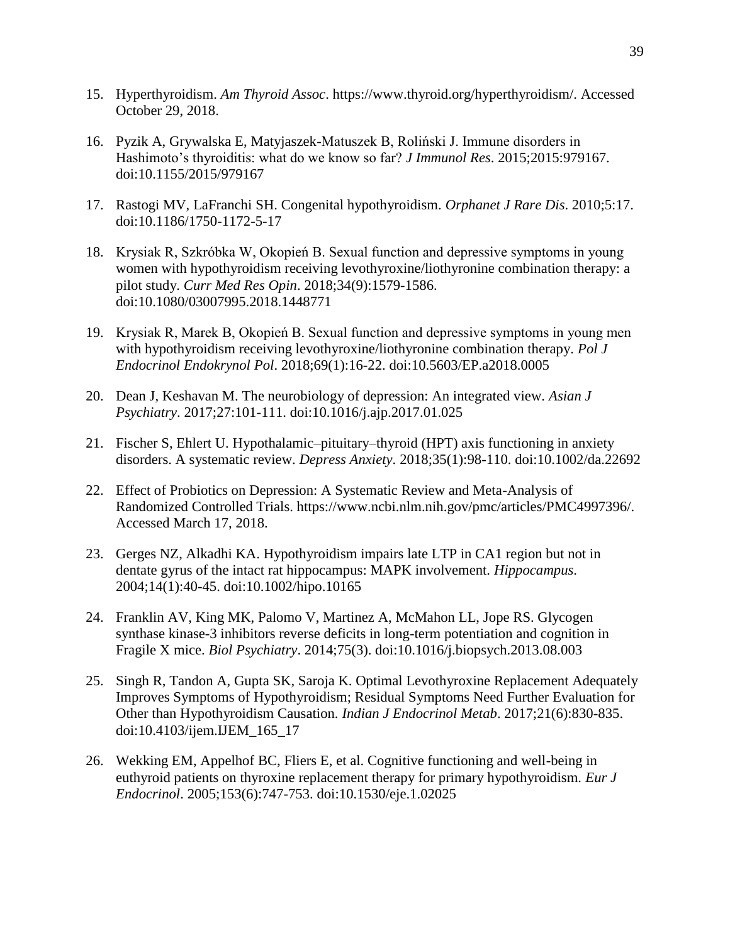- 15. Hyperthyroidism. *Am Thyroid Assoc*. https://www.thyroid.org/hyperthyroidism/. Accessed October 29, 2018.
- 16. Pyzik A, Grywalska E, Matyjaszek-Matuszek B, Roliński J. Immune disorders in Hashimoto's thyroiditis: what do we know so far? *J Immunol Res*. 2015;2015:979167. doi:10.1155/2015/979167
- 17. Rastogi MV, LaFranchi SH. Congenital hypothyroidism. *Orphanet J Rare Dis*. 2010;5:17. doi:10.1186/1750-1172-5-17
- 18. Krysiak R, Szkróbka W, Okopień B. Sexual function and depressive symptoms in young women with hypothyroidism receiving levothyroxine/liothyronine combination therapy: a pilot study. *Curr Med Res Opin*. 2018;34(9):1579-1586. doi:10.1080/03007995.2018.1448771
- 19. Krysiak R, Marek B, Okopień B. Sexual function and depressive symptoms in young men with hypothyroidism receiving levothyroxine/liothyronine combination therapy. *Pol J Endocrinol Endokrynol Pol*. 2018;69(1):16-22. doi:10.5603/EP.a2018.0005
- 20. Dean J, Keshavan M. The neurobiology of depression: An integrated view. *Asian J Psychiatry*. 2017;27:101-111. doi:10.1016/j.ajp.2017.01.025
- 21. Fischer S, Ehlert U. Hypothalamic–pituitary–thyroid (HPT) axis functioning in anxiety disorders. A systematic review. *Depress Anxiety*. 2018;35(1):98-110. doi:10.1002/da.22692
- 22. Effect of Probiotics on Depression: A Systematic Review and Meta-Analysis of Randomized Controlled Trials. https://www.ncbi.nlm.nih.gov/pmc/articles/PMC4997396/. Accessed March 17, 2018.
- 23. Gerges NZ, Alkadhi KA. Hypothyroidism impairs late LTP in CA1 region but not in dentate gyrus of the intact rat hippocampus: MAPK involvement. *Hippocampus*. 2004;14(1):40-45. doi:10.1002/hipo.10165
- 24. Franklin AV, King MK, Palomo V, Martinez A, McMahon LL, Jope RS. Glycogen synthase kinase-3 inhibitors reverse deficits in long-term potentiation and cognition in Fragile X mice. *Biol Psychiatry*. 2014;75(3). doi:10.1016/j.biopsych.2013.08.003
- 25. Singh R, Tandon A, Gupta SK, Saroja K. Optimal Levothyroxine Replacement Adequately Improves Symptoms of Hypothyroidism; Residual Symptoms Need Further Evaluation for Other than Hypothyroidism Causation. *Indian J Endocrinol Metab*. 2017;21(6):830-835. doi:10.4103/ijem.IJEM\_165\_17
- 26. Wekking EM, Appelhof BC, Fliers E, et al. Cognitive functioning and well-being in euthyroid patients on thyroxine replacement therapy for primary hypothyroidism. *Eur J Endocrinol*. 2005;153(6):747-753. doi:10.1530/eje.1.02025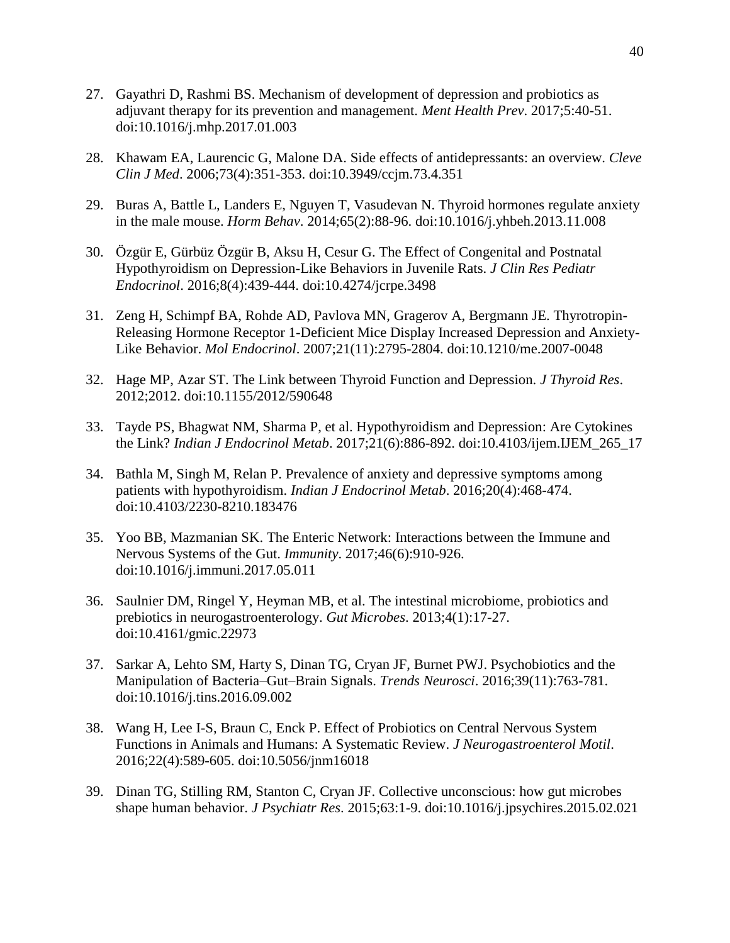- 27. Gayathri D, Rashmi BS. Mechanism of development of depression and probiotics as adjuvant therapy for its prevention and management. *Ment Health Prev*. 2017;5:40-51. doi:10.1016/j.mhp.2017.01.003
- 28. Khawam EA, Laurencic G, Malone DA. Side effects of antidepressants: an overview. *Cleve Clin J Med*. 2006;73(4):351-353. doi:10.3949/ccjm.73.4.351
- 29. Buras A, Battle L, Landers E, Nguyen T, Vasudevan N. Thyroid hormones regulate anxiety in the male mouse. *Horm Behav*. 2014;65(2):88-96. doi:10.1016/j.yhbeh.2013.11.008
- 30. Özgür E, Gürbüz Özgür B, Aksu H, Cesur G. The Effect of Congenital and Postnatal Hypothyroidism on Depression-Like Behaviors in Juvenile Rats. *J Clin Res Pediatr Endocrinol*. 2016;8(4):439-444. doi:10.4274/jcrpe.3498
- 31. Zeng H, Schimpf BA, Rohde AD, Pavlova MN, Gragerov A, Bergmann JE. Thyrotropin-Releasing Hormone Receptor 1-Deficient Mice Display Increased Depression and Anxiety-Like Behavior. *Mol Endocrinol*. 2007;21(11):2795-2804. doi:10.1210/me.2007-0048
- 32. Hage MP, Azar ST. The Link between Thyroid Function and Depression. *J Thyroid Res*. 2012;2012. doi:10.1155/2012/590648
- 33. Tayde PS, Bhagwat NM, Sharma P, et al. Hypothyroidism and Depression: Are Cytokines the Link? *Indian J Endocrinol Metab*. 2017;21(6):886-892. doi:10.4103/ijem.IJEM\_265\_17
- 34. Bathla M, Singh M, Relan P. Prevalence of anxiety and depressive symptoms among patients with hypothyroidism. *Indian J Endocrinol Metab*. 2016;20(4):468-474. doi:10.4103/2230-8210.183476
- 35. Yoo BB, Mazmanian SK. The Enteric Network: Interactions between the Immune and Nervous Systems of the Gut. *Immunity*. 2017;46(6):910-926. doi:10.1016/j.immuni.2017.05.011
- 36. Saulnier DM, Ringel Y, Heyman MB, et al. The intestinal microbiome, probiotics and prebiotics in neurogastroenterology. *Gut Microbes*. 2013;4(1):17-27. doi:10.4161/gmic.22973
- 37. Sarkar A, Lehto SM, Harty S, Dinan TG, Cryan JF, Burnet PWJ. Psychobiotics and the Manipulation of Bacteria–Gut–Brain Signals. *Trends Neurosci*. 2016;39(11):763-781. doi:10.1016/j.tins.2016.09.002
- 38. Wang H, Lee I-S, Braun C, Enck P. Effect of Probiotics on Central Nervous System Functions in Animals and Humans: A Systematic Review. *J Neurogastroenterol Motil*. 2016;22(4):589-605. doi:10.5056/jnm16018
- 39. Dinan TG, Stilling RM, Stanton C, Cryan JF. Collective unconscious: how gut microbes shape human behavior. *J Psychiatr Res*. 2015;63:1-9. doi:10.1016/j.jpsychires.2015.02.021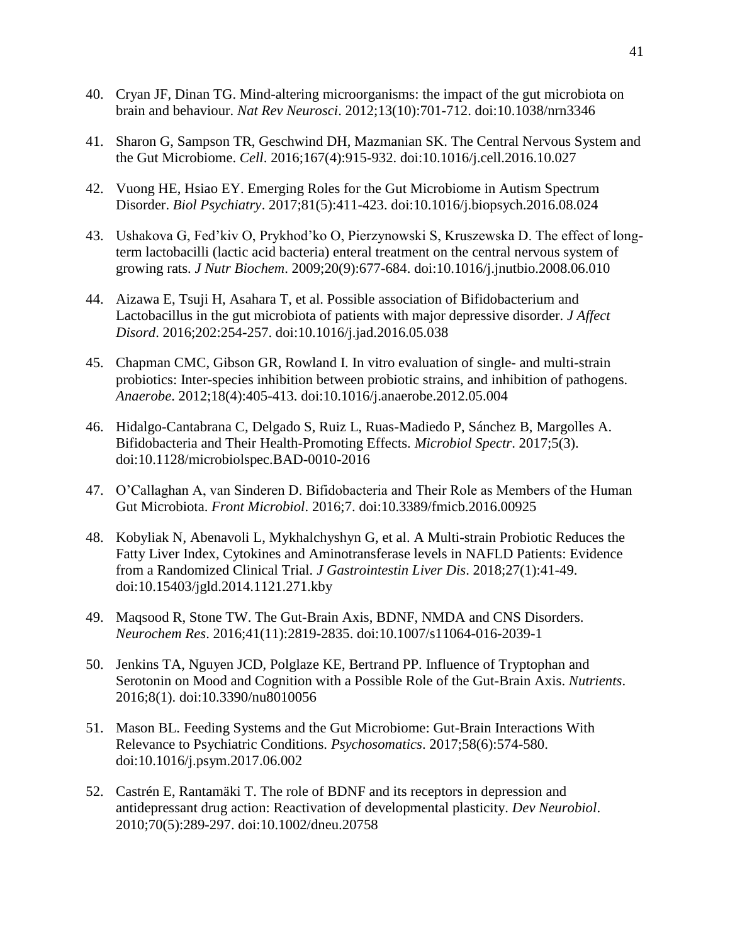- 40. Cryan JF, Dinan TG. Mind-altering microorganisms: the impact of the gut microbiota on brain and behaviour. *Nat Rev Neurosci*. 2012;13(10):701-712. doi:10.1038/nrn3346
- 41. Sharon G, Sampson TR, Geschwind DH, Mazmanian SK. The Central Nervous System and the Gut Microbiome. *Cell*. 2016;167(4):915-932. doi:10.1016/j.cell.2016.10.027
- 42. Vuong HE, Hsiao EY. Emerging Roles for the Gut Microbiome in Autism Spectrum Disorder. *Biol Psychiatry*. 2017;81(5):411-423. doi:10.1016/j.biopsych.2016.08.024
- 43. Ushakova G, Fed'kiv O, Prykhod'ko O, Pierzynowski S, Kruszewska D. The effect of longterm lactobacilli (lactic acid bacteria) enteral treatment on the central nervous system of growing rats. *J Nutr Biochem*. 2009;20(9):677-684. doi:10.1016/j.jnutbio.2008.06.010
- 44. Aizawa E, Tsuji H, Asahara T, et al. Possible association of Bifidobacterium and Lactobacillus in the gut microbiota of patients with major depressive disorder. *J Affect Disord*. 2016;202:254-257. doi:10.1016/j.jad.2016.05.038
- 45. Chapman CMC, Gibson GR, Rowland I. In vitro evaluation of single- and multi-strain probiotics: Inter-species inhibition between probiotic strains, and inhibition of pathogens. *Anaerobe*. 2012;18(4):405-413. doi:10.1016/j.anaerobe.2012.05.004
- 46. Hidalgo-Cantabrana C, Delgado S, Ruiz L, Ruas-Madiedo P, Sánchez B, Margolles A. Bifidobacteria and Their Health-Promoting Effects. *Microbiol Spectr*. 2017;5(3). doi:10.1128/microbiolspec.BAD-0010-2016
- 47. O'Callaghan A, van Sinderen D. Bifidobacteria and Their Role as Members of the Human Gut Microbiota. *Front Microbiol*. 2016;7. doi:10.3389/fmicb.2016.00925
- 48. Kobyliak N, Abenavoli L, Mykhalchyshyn G, et al. A Multi-strain Probiotic Reduces the Fatty Liver Index, Cytokines and Aminotransferase levels in NAFLD Patients: Evidence from a Randomized Clinical Trial. *J Gastrointestin Liver Dis*. 2018;27(1):41-49. doi:10.15403/jgld.2014.1121.271.kby
- 49. Maqsood R, Stone TW. The Gut-Brain Axis, BDNF, NMDA and CNS Disorders. *Neurochem Res*. 2016;41(11):2819-2835. doi:10.1007/s11064-016-2039-1
- 50. Jenkins TA, Nguyen JCD, Polglaze KE, Bertrand PP. Influence of Tryptophan and Serotonin on Mood and Cognition with a Possible Role of the Gut-Brain Axis. *Nutrients*. 2016;8(1). doi:10.3390/nu8010056
- 51. Mason BL. Feeding Systems and the Gut Microbiome: Gut-Brain Interactions With Relevance to Psychiatric Conditions. *Psychosomatics*. 2017;58(6):574-580. doi:10.1016/j.psym.2017.06.002
- 52. Castrén E, Rantamäki T. The role of BDNF and its receptors in depression and antidepressant drug action: Reactivation of developmental plasticity. *Dev Neurobiol*. 2010;70(5):289-297. doi:10.1002/dneu.20758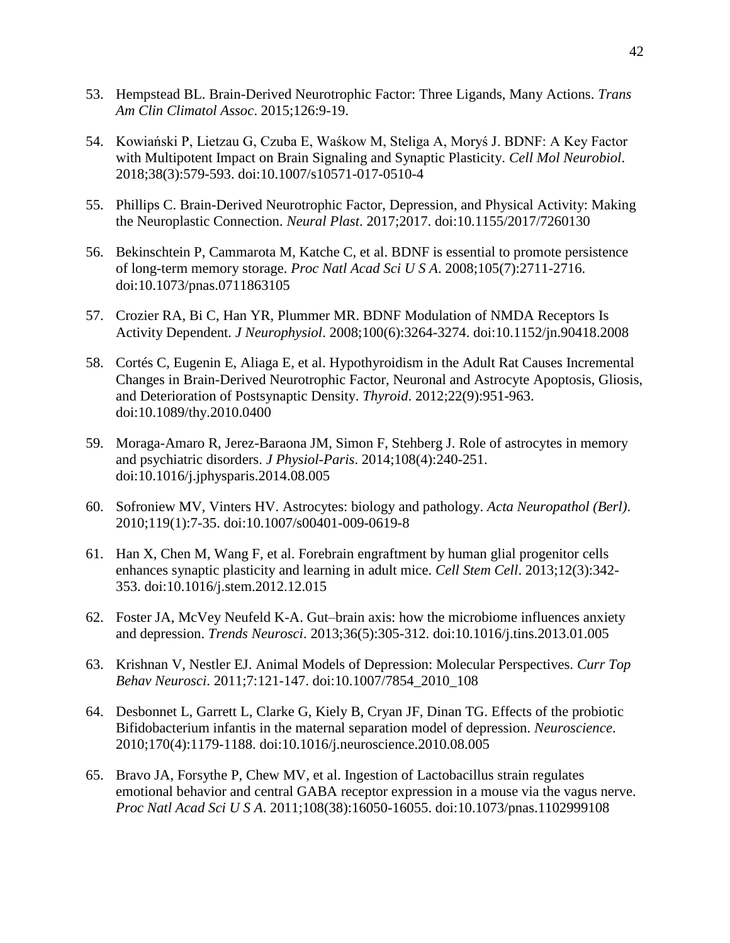- 53. Hempstead BL. Brain-Derived Neurotrophic Factor: Three Ligands, Many Actions. *Trans Am Clin Climatol Assoc*. 2015;126:9-19.
- 54. Kowiański P, Lietzau G, Czuba E, Waśkow M, Steliga A, Moryś J. BDNF: A Key Factor with Multipotent Impact on Brain Signaling and Synaptic Plasticity. *Cell Mol Neurobiol*. 2018;38(3):579-593. doi:10.1007/s10571-017-0510-4
- 55. Phillips C. Brain-Derived Neurotrophic Factor, Depression, and Physical Activity: Making the Neuroplastic Connection. *Neural Plast*. 2017;2017. doi:10.1155/2017/7260130
- 56. Bekinschtein P, Cammarota M, Katche C, et al. BDNF is essential to promote persistence of long-term memory storage. *Proc Natl Acad Sci U S A*. 2008;105(7):2711-2716. doi:10.1073/pnas.0711863105
- 57. Crozier RA, Bi C, Han YR, Plummer MR. BDNF Modulation of NMDA Receptors Is Activity Dependent. *J Neurophysiol*. 2008;100(6):3264-3274. doi:10.1152/jn.90418.2008
- 58. Cortés C, Eugenin E, Aliaga E, et al. Hypothyroidism in the Adult Rat Causes Incremental Changes in Brain-Derived Neurotrophic Factor, Neuronal and Astrocyte Apoptosis, Gliosis, and Deterioration of Postsynaptic Density. *Thyroid*. 2012;22(9):951-963. doi:10.1089/thy.2010.0400
- 59. Moraga-Amaro R, Jerez-Baraona JM, Simon F, Stehberg J. Role of astrocytes in memory and psychiatric disorders. *J Physiol-Paris*. 2014;108(4):240-251. doi:10.1016/j.jphysparis.2014.08.005
- 60. Sofroniew MV, Vinters HV. Astrocytes: biology and pathology. *Acta Neuropathol (Berl)*. 2010;119(1):7-35. doi:10.1007/s00401-009-0619-8
- 61. Han X, Chen M, Wang F, et al. Forebrain engraftment by human glial progenitor cells enhances synaptic plasticity and learning in adult mice. *Cell Stem Cell*. 2013;12(3):342- 353. doi:10.1016/j.stem.2012.12.015
- 62. Foster JA, McVey Neufeld K-A. Gut–brain axis: how the microbiome influences anxiety and depression. *Trends Neurosci*. 2013;36(5):305-312. doi:10.1016/j.tins.2013.01.005
- 63. Krishnan V, Nestler EJ. Animal Models of Depression: Molecular Perspectives. *Curr Top Behav Neurosci*. 2011;7:121-147. doi:10.1007/7854\_2010\_108
- 64. Desbonnet L, Garrett L, Clarke G, Kiely B, Cryan JF, Dinan TG. Effects of the probiotic Bifidobacterium infantis in the maternal separation model of depression. *Neuroscience*. 2010;170(4):1179-1188. doi:10.1016/j.neuroscience.2010.08.005
- 65. Bravo JA, Forsythe P, Chew MV, et al. Ingestion of Lactobacillus strain regulates emotional behavior and central GABA receptor expression in a mouse via the vagus nerve. *Proc Natl Acad Sci U S A*. 2011;108(38):16050-16055. doi:10.1073/pnas.1102999108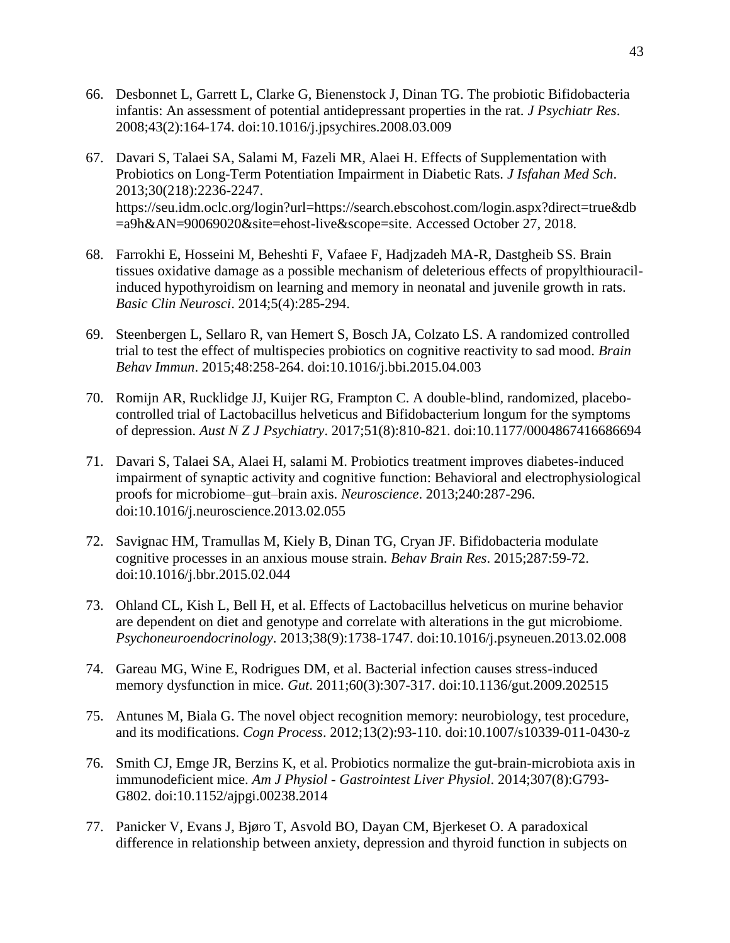- 66. Desbonnet L, Garrett L, Clarke G, Bienenstock J, Dinan TG. The probiotic Bifidobacteria infantis: An assessment of potential antidepressant properties in the rat. *J Psychiatr Res*. 2008;43(2):164-174. doi:10.1016/j.jpsychires.2008.03.009
- 67. Davari S, Talaei SA, Salami M, Fazeli MR, Alaei H. Effects of Supplementation with Probiotics on Long-Term Potentiation Impairment in Diabetic Rats. *J Isfahan Med Sch*. 2013;30(218):2236-2247. https://seu.idm.oclc.org/login?url=https://search.ebscohost.com/login.aspx?direct=true&db =a9h&AN=90069020&site=ehost-live&scope=site. Accessed October 27, 2018.
- 68. Farrokhi E, Hosseini M, Beheshti F, Vafaee F, Hadjzadeh MA-R, Dastgheib SS. Brain tissues oxidative damage as a possible mechanism of deleterious effects of propylthiouracilinduced hypothyroidism on learning and memory in neonatal and juvenile growth in rats. *Basic Clin Neurosci*. 2014;5(4):285-294.
- 69. Steenbergen L, Sellaro R, van Hemert S, Bosch JA, Colzato LS. A randomized controlled trial to test the effect of multispecies probiotics on cognitive reactivity to sad mood. *Brain Behav Immun*. 2015;48:258-264. doi:10.1016/j.bbi.2015.04.003
- 70. Romijn AR, Rucklidge JJ, Kuijer RG, Frampton C. A double-blind, randomized, placebocontrolled trial of Lactobacillus helveticus and Bifidobacterium longum for the symptoms of depression. *Aust N Z J Psychiatry*. 2017;51(8):810-821. doi:10.1177/0004867416686694
- 71. Davari S, Talaei SA, Alaei H, salami M. Probiotics treatment improves diabetes-induced impairment of synaptic activity and cognitive function: Behavioral and electrophysiological proofs for microbiome–gut–brain axis. *Neuroscience*. 2013;240:287-296. doi:10.1016/j.neuroscience.2013.02.055
- 72. Savignac HM, Tramullas M, Kiely B, Dinan TG, Cryan JF. Bifidobacteria modulate cognitive processes in an anxious mouse strain. *Behav Brain Res*. 2015;287:59-72. doi:10.1016/j.bbr.2015.02.044
- 73. Ohland CL, Kish L, Bell H, et al. Effects of Lactobacillus helveticus on murine behavior are dependent on diet and genotype and correlate with alterations in the gut microbiome. *Psychoneuroendocrinology*. 2013;38(9):1738-1747. doi:10.1016/j.psyneuen.2013.02.008
- 74. Gareau MG, Wine E, Rodrigues DM, et al. Bacterial infection causes stress-induced memory dysfunction in mice. *Gut*. 2011;60(3):307-317. doi:10.1136/gut.2009.202515
- 75. Antunes M, Biala G. The novel object recognition memory: neurobiology, test procedure, and its modifications. *Cogn Process*. 2012;13(2):93-110. doi:10.1007/s10339-011-0430-z
- 76. Smith CJ, Emge JR, Berzins K, et al. Probiotics normalize the gut-brain-microbiota axis in immunodeficient mice. *Am J Physiol - Gastrointest Liver Physiol*. 2014;307(8):G793- G802. doi:10.1152/ajpgi.00238.2014
- 77. Panicker V, Evans J, Bjøro T, Asvold BO, Dayan CM, Bjerkeset O. A paradoxical difference in relationship between anxiety, depression and thyroid function in subjects on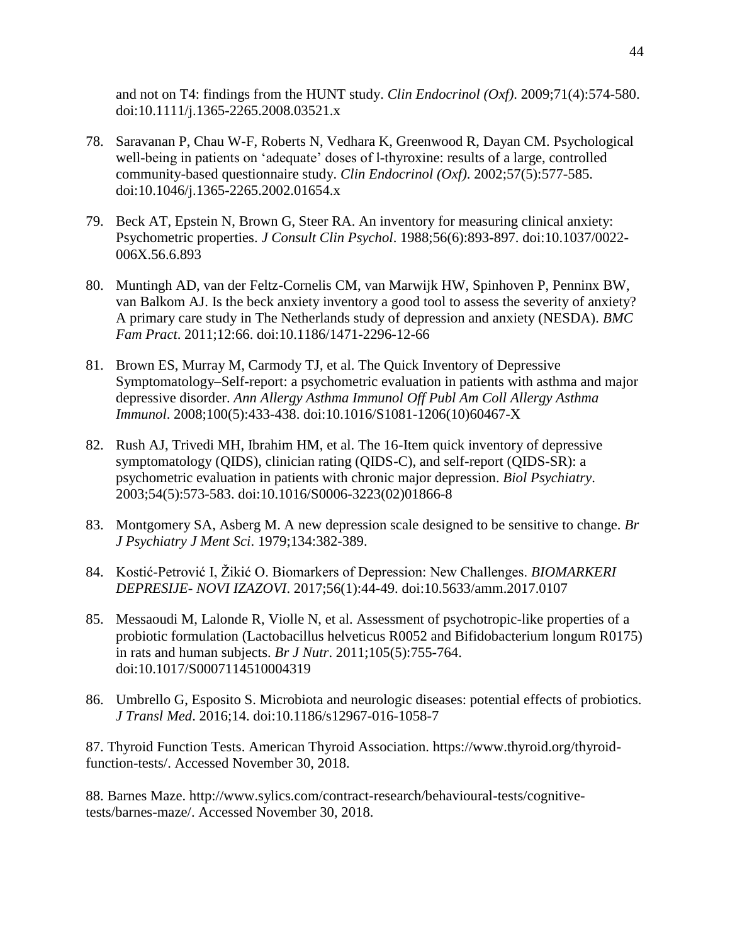and not on T4: findings from the HUNT study. *Clin Endocrinol (Oxf)*. 2009;71(4):574-580. doi:10.1111/j.1365-2265.2008.03521.x

- 78. Saravanan P, Chau W-F, Roberts N, Vedhara K, Greenwood R, Dayan CM. Psychological well-being in patients on 'adequate' doses of l-thyroxine: results of a large, controlled community-based questionnaire study. *Clin Endocrinol (Oxf)*. 2002;57(5):577-585. doi:10.1046/j.1365-2265.2002.01654.x
- 79. Beck AT, Epstein N, Brown G, Steer RA. An inventory for measuring clinical anxiety: Psychometric properties. *J Consult Clin Psychol*. 1988;56(6):893-897. doi:10.1037/0022- 006X.56.6.893
- 80. Muntingh AD, van der Feltz-Cornelis CM, van Marwijk HW, Spinhoven P, Penninx BW, van Balkom AJ. Is the beck anxiety inventory a good tool to assess the severity of anxiety? A primary care study in The Netherlands study of depression and anxiety (NESDA). *BMC Fam Pract*. 2011;12:66. doi:10.1186/1471-2296-12-66
- 81. Brown ES, Murray M, Carmody TJ, et al. The Quick Inventory of Depressive Symptomatology–Self-report: a psychometric evaluation in patients with asthma and major depressive disorder. *Ann Allergy Asthma Immunol Off Publ Am Coll Allergy Asthma Immunol*. 2008;100(5):433-438. doi:10.1016/S1081-1206(10)60467-X
- 82. Rush AJ, Trivedi MH, Ibrahim HM, et al. The 16-Item quick inventory of depressive symptomatology (QIDS), clinician rating (QIDS-C), and self-report (QIDS-SR): a psychometric evaluation in patients with chronic major depression. *Biol Psychiatry*. 2003;54(5):573-583. doi:10.1016/S0006-3223(02)01866-8
- 83. Montgomery SA, Asberg M. A new depression scale designed to be sensitive to change. *Br J Psychiatry J Ment Sci*. 1979;134:382-389.
- 84. Kostić-Petrović I, Žikić O. Biomarkers of Depression: New Challenges. *BIOMARKERI DEPRESIJE- NOVI IZAZOVI*. 2017;56(1):44-49. doi:10.5633/amm.2017.0107
- 85. Messaoudi M, Lalonde R, Violle N, et al. Assessment of psychotropic-like properties of a probiotic formulation (Lactobacillus helveticus R0052 and Bifidobacterium longum R0175) in rats and human subjects. *Br J Nutr*. 2011;105(5):755-764. doi:10.1017/S0007114510004319
- 86. Umbrello G, Esposito S. Microbiota and neurologic diseases: potential effects of probiotics. *J Transl Med*. 2016;14. doi:10.1186/s12967-016-1058-7

87. Thyroid Function Tests. American Thyroid Association. https://www.thyroid.org/thyroidfunction-tests/. Accessed November 30, 2018.

88. Barnes Maze. http://www.sylics.com/contract-research/behavioural-tests/cognitivetests/barnes-maze/. Accessed November 30, 2018.